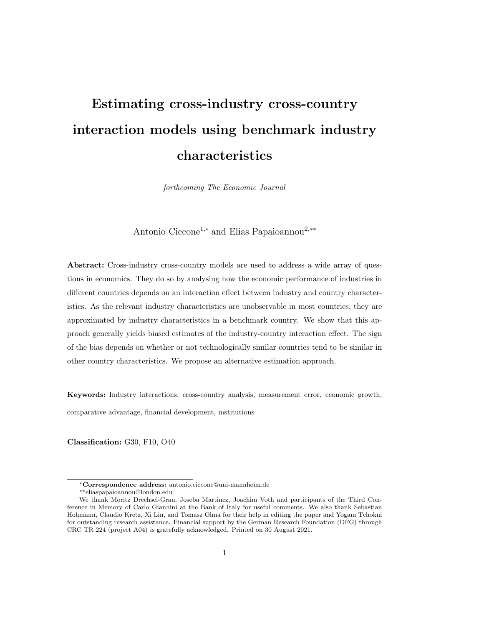# Estimating cross-industry cross-country interaction models using benchmark industry characteristics

forthcoming The Economic Journal

Antonio Ciccone<sup>1</sup>,<sup>∗</sup> and Elias Papaioannou<sup>2</sup>,∗∗

Abstract: Cross-industry cross-country models are used to address a wide array of questions in economics. They do so by analysing how the economic performance of industries in different countries depends on an interaction effect between industry and country characteristics. As the relevant industry characteristics are unobservable in most countries, they are approximated by industry characteristics in a benchmark country. We show that this approach generally yields biased estimates of the industry-country interaction effect. The sign of the bias depends on whether or not technologically similar countries tend to be similar in other country characteristics. We propose an alternative estimation approach.

Keywords: Industry interactions, cross-country analysis, measurement error, economic growth, comparative advantage, financial development, institutions

Classification: G30, F10, O40

<sup>∗</sup>Correspondence address: antonio.ciccone@uni-mannheim.de

<sup>∗∗</sup>eliaspapaioannou@london.edu

We thank Moritz Drechsel-Grau, Joseba Martinez, Joachim Voth and participants of the Third Conference in Memory of Carlo Giannini at the Bank of Italy for useful comments. We also thank Sebastian Hohmann, Claudio Kretz, Xi Lin, and Tomasz Olma for their help in editing the paper and Yogam Tchokni for outstanding research assistance. Financial support by the German Research Foundation (DFG) through CRC TR 224 (project A04) is gratefully acknowledged. Printed on 30 August 2021.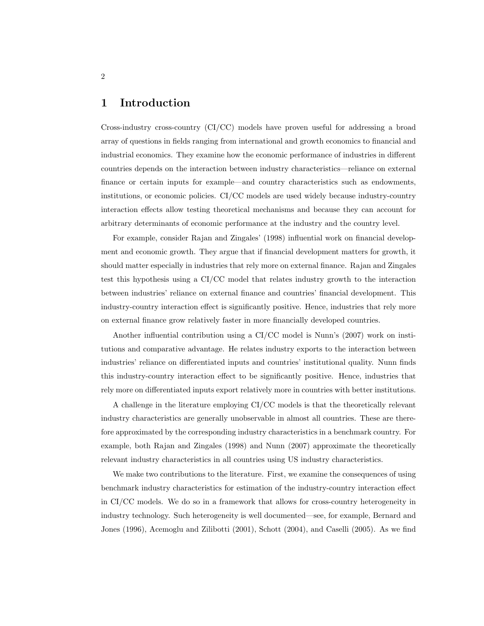## 1 Introduction

Cross-industry cross-country (CI/CC) models have proven useful for addressing a broad array of questions in fields ranging from international and growth economics to financial and industrial economics. They examine how the economic performance of industries in different countries depends on the interaction between industry characteristics—reliance on external finance or certain inputs for example—and country characteristics such as endowments, institutions, or economic policies. CI/CC models are used widely because industry-country interaction effects allow testing theoretical mechanisms and because they can account for arbitrary determinants of economic performance at the industry and the country level.

For example, consider Rajan and Zingales' (1998) influential work on financial development and economic growth. They argue that if financial development matters for growth, it should matter especially in industries that rely more on external finance. Rajan and Zingales test this hypothesis using a CI/CC model that relates industry growth to the interaction between industries' reliance on external finance and countries' financial development. This industry-country interaction effect is significantly positive. Hence, industries that rely more on external finance grow relatively faster in more financially developed countries.

Another influential contribution using a CI/CC model is Nunn's (2007) work on institutions and comparative advantage. He relates industry exports to the interaction between industries' reliance on differentiated inputs and countries' institutional quality. Nunn finds this industry-country interaction effect to be significantly positive. Hence, industries that rely more on differentiated inputs export relatively more in countries with better institutions.

A challenge in the literature employing CI/CC models is that the theoretically relevant industry characteristics are generally unobservable in almost all countries. These are therefore approximated by the corresponding industry characteristics in a benchmark country. For example, both Rajan and Zingales (1998) and Nunn (2007) approximate the theoretically relevant industry characteristics in all countries using US industry characteristics.

We make two contributions to the literature. First, we examine the consequences of using benchmark industry characteristics for estimation of the industry-country interaction effect in CI/CC models. We do so in a framework that allows for cross-country heterogeneity in industry technology. Such heterogeneity is well documented—see, for example, Bernard and Jones (1996), Acemoglu and Zilibotti (2001), Schott (2004), and Caselli (2005). As we find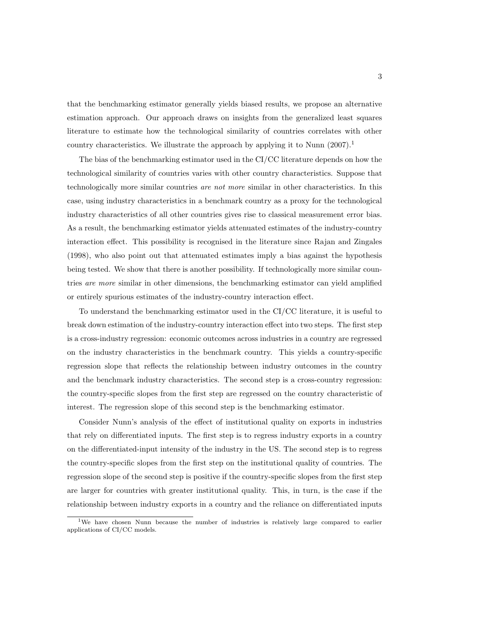that the benchmarking estimator generally yields biased results, we propose an alternative estimation approach. Our approach draws on insights from the generalized least squares literature to estimate how the technological similarity of countries correlates with other country characteristics. We illustrate the approach by applying it to Nunn  $(2007).$ <sup>1</sup>

The bias of the benchmarking estimator used in the CI/CC literature depends on how the technological similarity of countries varies with other country characteristics. Suppose that technologically more similar countries are not more similar in other characteristics. In this case, using industry characteristics in a benchmark country as a proxy for the technological industry characteristics of all other countries gives rise to classical measurement error bias. As a result, the benchmarking estimator yields attenuated estimates of the industry-country interaction effect. This possibility is recognised in the literature since Rajan and Zingales (1998), who also point out that attenuated estimates imply a bias against the hypothesis being tested. We show that there is another possibility. If technologically more similar countries are more similar in other dimensions, the benchmarking estimator can yield amplified or entirely spurious estimates of the industry-country interaction effect.

To understand the benchmarking estimator used in the CI/CC literature, it is useful to break down estimation of the industry-country interaction effect into two steps. The first step is a cross-industry regression: economic outcomes across industries in a country are regressed on the industry characteristics in the benchmark country. This yields a country-specific regression slope that reflects the relationship between industry outcomes in the country and the benchmark industry characteristics. The second step is a cross-country regression: the country-specific slopes from the first step are regressed on the country characteristic of interest. The regression slope of this second step is the benchmarking estimator.

Consider Nunn's analysis of the effect of institutional quality on exports in industries that rely on differentiated inputs. The first step is to regress industry exports in a country on the differentiated-input intensity of the industry in the US. The second step is to regress the country-specific slopes from the first step on the institutional quality of countries. The regression slope of the second step is positive if the country-specific slopes from the first step are larger for countries with greater institutional quality. This, in turn, is the case if the relationship between industry exports in a country and the reliance on differentiated inputs

<sup>&</sup>lt;sup>1</sup>We have chosen Nunn because the number of industries is relatively large compared to earlier applications of CI/CC models.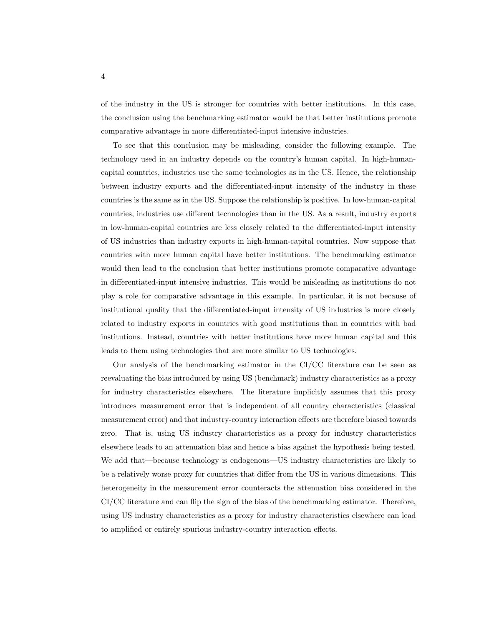of the industry in the US is stronger for countries with better institutions. In this case, the conclusion using the benchmarking estimator would be that better institutions promote comparative advantage in more differentiated-input intensive industries.

To see that this conclusion may be misleading, consider the following example. The technology used in an industry depends on the country's human capital. In high-humancapital countries, industries use the same technologies as in the US. Hence, the relationship between industry exports and the differentiated-input intensity of the industry in these countries is the same as in the US. Suppose the relationship is positive. In low-human-capital countries, industries use different technologies than in the US. As a result, industry exports in low-human-capital countries are less closely related to the differentiated-input intensity of US industries than industry exports in high-human-capital countries. Now suppose that countries with more human capital have better institutions. The benchmarking estimator would then lead to the conclusion that better institutions promote comparative advantage in differentiated-input intensive industries. This would be misleading as institutions do not play a role for comparative advantage in this example. In particular, it is not because of institutional quality that the differentiated-input intensity of US industries is more closely related to industry exports in countries with good institutions than in countries with bad institutions. Instead, countries with better institutions have more human capital and this leads to them using technologies that are more similar to US technologies.

Our analysis of the benchmarking estimator in the CI/CC literature can be seen as reevaluating the bias introduced by using US (benchmark) industry characteristics as a proxy for industry characteristics elsewhere. The literature implicitly assumes that this proxy introduces measurement error that is independent of all country characteristics (classical measurement error) and that industry-country interaction effects are therefore biased towards zero. That is, using US industry characteristics as a proxy for industry characteristics elsewhere leads to an attenuation bias and hence a bias against the hypothesis being tested. We add that—because technology is endogenous—US industry characteristics are likely to be a relatively worse proxy for countries that differ from the US in various dimensions. This heterogeneity in the measurement error counteracts the attenuation bias considered in the CI/CC literature and can flip the sign of the bias of the benchmarking estimator. Therefore, using US industry characteristics as a proxy for industry characteristics elsewhere can lead to amplified or entirely spurious industry-country interaction effects.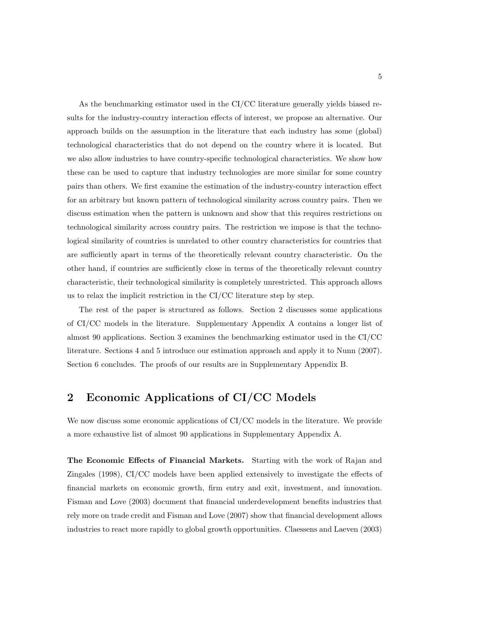As the benchmarking estimator used in the CI/CC literature generally yields biased results for the industry-country interaction effects of interest, we propose an alternative. Our approach builds on the assumption in the literature that each industry has some (global) technological characteristics that do not depend on the country where it is located. But we also allow industries to have country-specific technological characteristics. We show how these can be used to capture that industry technologies are more similar for some country pairs than others. We first examine the estimation of the industry-country interaction effect for an arbitrary but known pattern of technological similarity across country pairs. Then we discuss estimation when the pattern is unknown and show that this requires restrictions on technological similarity across country pairs. The restriction we impose is that the technological similarity of countries is unrelated to other country characteristics for countries that are sufficiently apart in terms of the theoretically relevant country characteristic. On the other hand, if countries are sufficiently close in terms of the theoretically relevant country characteristic, their technological similarity is completely unrestricted. This approach allows us to relax the implicit restriction in the CI/CC literature step by step.

The rest of the paper is structured as follows. Section 2 discusses some applications of CI/CC models in the literature. Supplementary Appendix A contains a longer list of almost 90 applications. Section 3 examines the benchmarking estimator used in the CI/CC literature. Sections 4 and 5 introduce our estimation approach and apply it to Nunn (2007). Section 6 concludes. The proofs of our results are in Supplementary Appendix B.

# 2 Economic Applications of CI/CC Models

We now discuss some economic applications of CI/CC models in the literature. We provide a more exhaustive list of almost 90 applications in Supplementary Appendix A.

The Economic Effects of Financial Markets. Starting with the work of Rajan and Zingales (1998), CI/CC models have been applied extensively to investigate the effects of financial markets on economic growth, firm entry and exit, investment, and innovation. Fisman and Love (2003) document that financial underdevelopment benefits industries that rely more on trade credit and Fisman and Love (2007) show that financial development allows industries to react more rapidly to global growth opportunities. Claessens and Laeven (2003)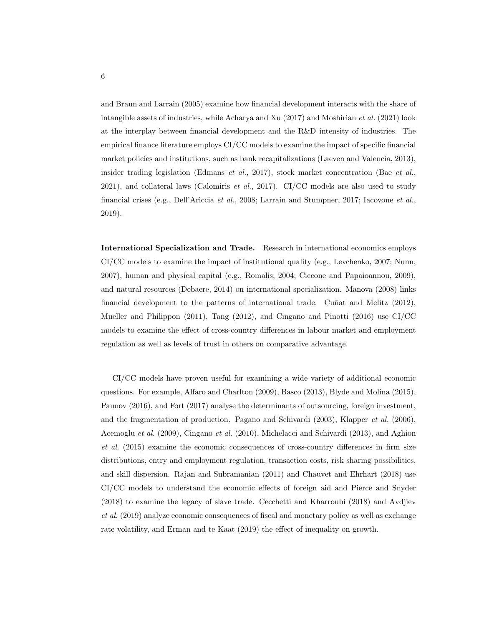and Braun and Larrain (2005) examine how financial development interacts with the share of intangible assets of industries, while Acharya and Xu (2017) and Moshirian et al. (2021) look at the interplay between financial development and the R&D intensity of industries. The empirical finance literature employs CI/CC models to examine the impact of specific financial market policies and institutions, such as bank recapitalizations (Laeven and Valencia, 2013), insider trading legislation (Edmans *et al.*, 2017), stock market concentration (Bae *et al.*,  $2021$ ), and collateral laws (Calomiris *et al.*, 2017). CI/CC models are also used to study financial crises (e.g., Dell'Ariccia et al., 2008; Larrain and Stumpner, 2017; Iacovone et al., 2019).

International Specialization and Trade. Research in international economics employs CI/CC models to examine the impact of institutional quality (e.g., Levchenko, 2007; Nunn, 2007), human and physical capital (e.g., Romalis, 2004; Ciccone and Papaioannou, 2009), and natural resources (Debaere, 2014) on international specialization. Manova (2008) links financial development to the patterns of international trade. Cunat and Melitz  $(2012)$ , Mueller and Philippon (2011), Tang (2012), and Cingano and Pinotti (2016) use CI/CC models to examine the effect of cross-country differences in labour market and employment regulation as well as levels of trust in others on comparative advantage.

CI/CC models have proven useful for examining a wide variety of additional economic questions. For example, Alfaro and Charlton (2009), Basco (2013), Blyde and Molina (2015), Paunov (2016), and Fort (2017) analyse the determinants of outsourcing, foreign investment, and the fragmentation of production. Pagano and Schivardi (2003), Klapper *et al.* (2006), Acemoglu et al. (2009), Cingano et al. (2010), Michelacci and Schivardi (2013), and Aghion et al. (2015) examine the economic consequences of cross-country differences in firm size distributions, entry and employment regulation, transaction costs, risk sharing possibilities, and skill dispersion. Rajan and Subramanian (2011) and Chauvet and Ehrhart (2018) use CI/CC models to understand the economic effects of foreign aid and Pierce and Snyder (2018) to examine the legacy of slave trade. Cecchetti and Kharroubi (2018) and Avdjiev et al. (2019) analyze economic consequences of fiscal and monetary policy as well as exchange rate volatility, and Erman and te Kaat (2019) the effect of inequality on growth.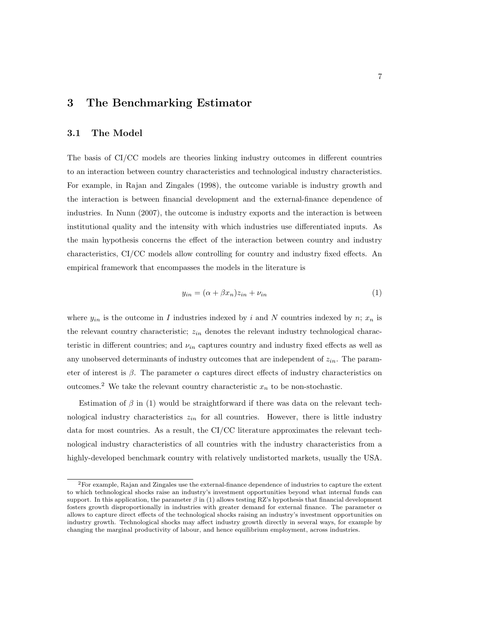## 3 The Benchmarking Estimator

### 3.1 The Model

The basis of CI/CC models are theories linking industry outcomes in different countries to an interaction between country characteristics and technological industry characteristics. For example, in Rajan and Zingales (1998), the outcome variable is industry growth and the interaction is between financial development and the external-finance dependence of industries. In Nunn (2007), the outcome is industry exports and the interaction is between institutional quality and the intensity with which industries use differentiated inputs. As the main hypothesis concerns the effect of the interaction between country and industry characteristics, CI/CC models allow controlling for country and industry fixed effects. An empirical framework that encompasses the models in the literature is

$$
y_{in} = (\alpha + \beta x_n)z_{in} + \nu_{in}
$$
\n<sup>(1)</sup>

where  $y_{in}$  is the outcome in I industries indexed by i and N countries indexed by n;  $x_n$  is the relevant country characteristic;  $z_{in}$  denotes the relevant industry technological characteristic in different countries; and  $\nu_{in}$  captures country and industry fixed effects as well as any unobserved determinants of industry outcomes that are independent of  $z_{in}$ . The parameter of interest is  $\beta$ . The parameter  $\alpha$  captures direct effects of industry characteristics on outcomes.<sup>2</sup> We take the relevant country characteristic  $x_n$  to be non-stochastic.

Estimation of  $\beta$  in (1) would be straightforward if there was data on the relevant technological industry characteristics  $z_{in}$  for all countries. However, there is little industry data for most countries. As a result, the CI/CC literature approximates the relevant technological industry characteristics of all countries with the industry characteristics from a highly-developed benchmark country with relatively undistorted markets, usually the USA.

<sup>2</sup>For example, Rajan and Zingales use the external-finance dependence of industries to capture the extent to which technological shocks raise an industry's investment opportunities beyond what internal funds can support. In this application, the parameter  $\beta$  in (1) allows testing RZ's hypothesis that financial development fosters growth disproportionally in industries with greater demand for external finance. The parameter  $\alpha$ allows to capture direct effects of the technological shocks raising an industry's investment opportunities on industry growth. Technological shocks may affect industry growth directly in several ways, for example by changing the marginal productivity of labour, and hence equilibrium employment, across industries.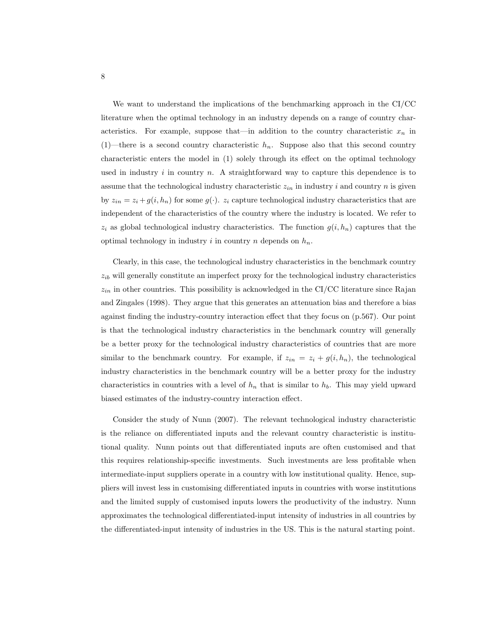We want to understand the implications of the benchmarking approach in the CI/CC literature when the optimal technology in an industry depends on a range of country characteristics. For example, suppose that—in addition to the country characteristic  $x_n$  in (1)—there is a second country characteristic  $h_n$ . Suppose also that this second country characteristic enters the model in (1) solely through its effect on the optimal technology used in industry i in country n. A straightforward way to capture this dependence is to assume that the technological industry characteristic  $z_{in}$  in industry i and country n is given by  $z_{in} = z_i + g(i, h_n)$  for some  $g(\cdot)$ .  $z_i$  capture technological industry characteristics that are independent of the characteristics of the country where the industry is located. We refer to  $z_i$  as global technological industry characteristics. The function  $g(i, h_n)$  captures that the optimal technology in industry i in country n depends on  $h_n$ .

Clearly, in this case, the technological industry characteristics in the benchmark country  $z_{ib}$  will generally constitute an imperfect proxy for the technological industry characteristics  $z_{in}$  in other countries. This possibility is acknowledged in the CI/CC literature since Rajan and Zingales (1998). They argue that this generates an attenuation bias and therefore a bias against finding the industry-country interaction effect that they focus on (p.567). Our point is that the technological industry characteristics in the benchmark country will generally be a better proxy for the technological industry characteristics of countries that are more similar to the benchmark country. For example, if  $z_{in} = z_i + g(i, h_n)$ , the technological industry characteristics in the benchmark country will be a better proxy for the industry characteristics in countries with a level of  $h_n$  that is similar to  $h_b$ . This may yield upward biased estimates of the industry-country interaction effect.

Consider the study of Nunn (2007). The relevant technological industry characteristic is the reliance on differentiated inputs and the relevant country characteristic is institutional quality. Nunn points out that differentiated inputs are often customised and that this requires relationship-specific investments. Such investments are less profitable when intermediate-input suppliers operate in a country with low institutional quality. Hence, suppliers will invest less in customising differentiated inputs in countries with worse institutions and the limited supply of customised inputs lowers the productivity of the industry. Nunn approximates the technological differentiated-input intensity of industries in all countries by the differentiated-input intensity of industries in the US. This is the natural starting point.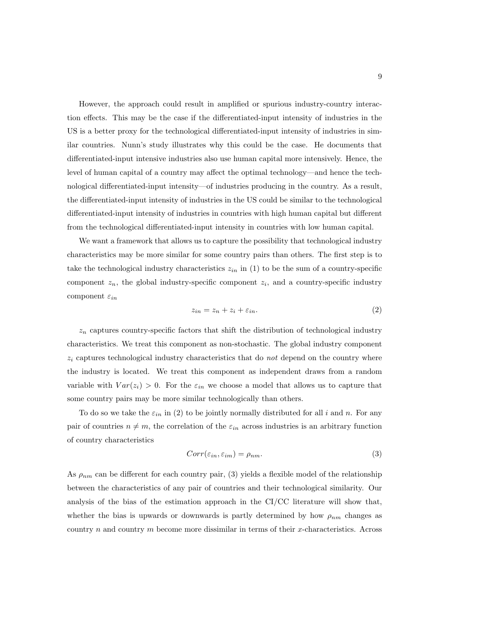However, the approach could result in amplified or spurious industry-country interaction effects. This may be the case if the differentiated-input intensity of industries in the US is a better proxy for the technological differentiated-input intensity of industries in similar countries. Nunn's study illustrates why this could be the case. He documents that differentiated-input intensive industries also use human capital more intensively. Hence, the level of human capital of a country may affect the optimal technology—and hence the technological differentiated-input intensity—of industries producing in the country. As a result, the differentiated-input intensity of industries in the US could be similar to the technological differentiated-input intensity of industries in countries with high human capital but different from the technological differentiated-input intensity in countries with low human capital.

We want a framework that allows us to capture the possibility that technological industry characteristics may be more similar for some country pairs than others. The first step is to take the technological industry characteristics  $z_{in}$  in (1) to be the sum of a country-specific component  $z_n$ , the global industry-specific component  $z_i$ , and a country-specific industry component  $\varepsilon_{in}$ 

$$
z_{in} = z_n + z_i + \varepsilon_{in}.\tag{2}
$$

 $z_n$  captures country-specific factors that shift the distribution of technological industry characteristics. We treat this component as non-stochastic. The global industry component  $z<sub>i</sub>$  captures technological industry characteristics that do *not* depend on the country where the industry is located. We treat this component as independent draws from a random variable with  $Var(z_i) > 0$ . For the  $\varepsilon_{in}$  we choose a model that allows us to capture that some country pairs may be more similar technologically than others.

To do so we take the  $\varepsilon_{in}$  in (2) to be jointly normally distributed for all i and n. For any pair of countries  $n \neq m$ , the correlation of the  $\varepsilon_{in}$  across industries is an arbitrary function of country characteristics

$$
Corr(\varepsilon_{in}, \varepsilon_{im}) = \rho_{nm}.\tag{3}
$$

As  $\rho_{nm}$  can be different for each country pair, (3) yields a flexible model of the relationship between the characteristics of any pair of countries and their technological similarity. Our analysis of the bias of the estimation approach in the  $CI/CC$  literature will show that, whether the bias is upwards or downwards is partly determined by how  $\rho_{nm}$  changes as country  $n$  and country  $m$  become more dissimilar in terms of their x-characteristics. Across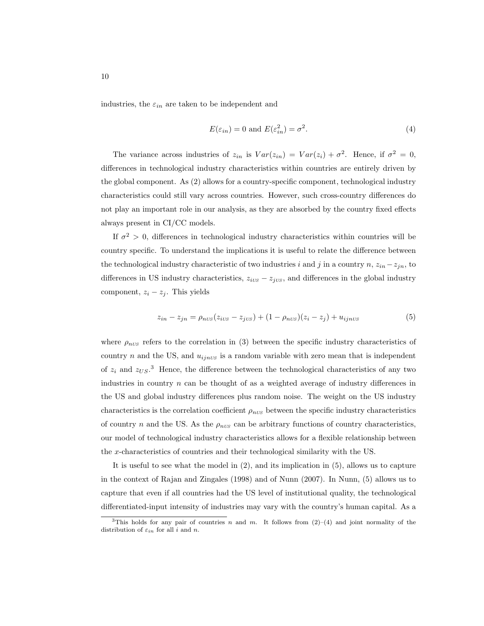industries, the  $\varepsilon_{in}$  are taken to be independent and

$$
E(\varepsilon_{in}) = 0 \text{ and } E(\varepsilon_{in}^2) = \sigma^2.
$$
 (4)

The variance across industries of  $z_{in}$  is  $Var(z_{in}) = Var(z_i) + \sigma^2$ . Hence, if  $\sigma^2 = 0$ , differences in technological industry characteristics within countries are entirely driven by the global component. As (2) allows for a country-specific component, technological industry characteristics could still vary across countries. However, such cross-country differences do not play an important role in our analysis, as they are absorbed by the country fixed effects always present in CI/CC models.

If  $\sigma^2 > 0$ , differences in technological industry characteristics within countries will be country specific. To understand the implications it is useful to relate the difference between the technological industry characteristic of two industries i and j in a country  $n, z_{in} - z_{jn}$ , to differences in US industry characteristics,  $z_{iUS} - z_{jUS}$ , and differences in the global industry component,  $z_i - z_j$ . This yields

$$
z_{in} - z_{jn} = \rho_{nUS}(z_{iUS} - z_{jUS}) + (1 - \rho_{nUS})(z_i - z_j) + u_{ijnUS}
$$
(5)

where  $\rho_{nUS}$  refers to the correlation in (3) between the specific industry characteristics of country n and the US, and  $u_{ijnUS}$  is a random variable with zero mean that is independent of  $z_i$  and  $z_{US}$ <sup>3</sup>. Hence, the difference between the technological characteristics of any two industries in country  $n$  can be thought of as a weighted average of industry differences in the US and global industry differences plus random noise. The weight on the US industry characteristics is the correlation coefficient  $\rho_{nUS}$  between the specific industry characteristics of country n and the US. As the  $\rho_{nUS}$  can be arbitrary functions of country characteristics, our model of technological industry characteristics allows for a flexible relationship between the x-characteristics of countries and their technological similarity with the US.

It is useful to see what the model in (2), and its implication in (5), allows us to capture in the context of Rajan and Zingales (1998) and of Nunn (2007). In Nunn, (5) allows us to capture that even if all countries had the US level of institutional quality, the technological differentiated-input intensity of industries may vary with the country's human capital. As a

<sup>&</sup>lt;sup>3</sup>This holds for any pair of countries n and m. It follows from  $(2)-(4)$  and joint normality of the distribution of  $\varepsilon_{in}$  for all i and n.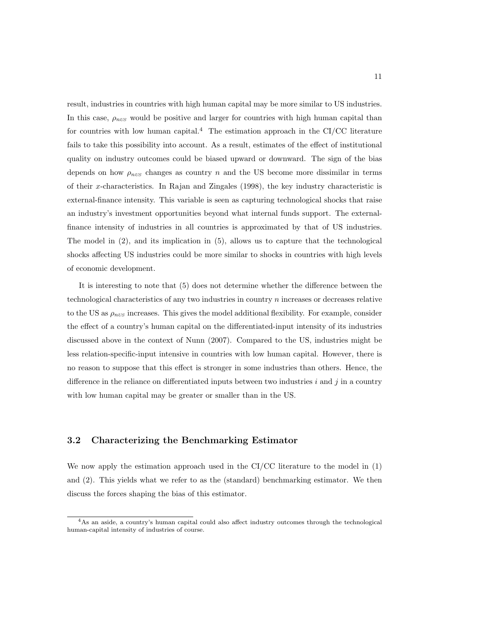result, industries in countries with high human capital may be more similar to US industries. In this case,  $\rho_{nUS}$  would be positive and larger for countries with high human capital than for countries with low human capital.<sup>4</sup> The estimation approach in the CI/CC literature fails to take this possibility into account. As a result, estimates of the effect of institutional quality on industry outcomes could be biased upward or downward. The sign of the bias depends on how  $\rho_{nUS}$  changes as country n and the US become more dissimilar in terms of their x-characteristics. In Rajan and Zingales (1998), the key industry characteristic is external-finance intensity. This variable is seen as capturing technological shocks that raise an industry's investment opportunities beyond what internal funds support. The externalfinance intensity of industries in all countries is approximated by that of US industries. The model in (2), and its implication in (5), allows us to capture that the technological shocks affecting US industries could be more similar to shocks in countries with high levels of economic development.

It is interesting to note that (5) does not determine whether the difference between the technological characteristics of any two industries in country n increases or decreases relative to the US as  $\rho_{nUS}$  increases. This gives the model additional flexibility. For example, consider the effect of a country's human capital on the differentiated-input intensity of its industries discussed above in the context of Nunn (2007). Compared to the US, industries might be less relation-specific-input intensive in countries with low human capital. However, there is no reason to suppose that this effect is stronger in some industries than others. Hence, the difference in the reliance on differentiated inputs between two industries  $i$  and  $j$  in a country with low human capital may be greater or smaller than in the US.

### 3.2 Characterizing the Benchmarking Estimator

We now apply the estimation approach used in the CI/CC literature to the model in (1) and (2). This yields what we refer to as the (standard) benchmarking estimator. We then discuss the forces shaping the bias of this estimator.

<sup>4</sup>As an aside, a country's human capital could also affect industry outcomes through the technological human-capital intensity of industries of course.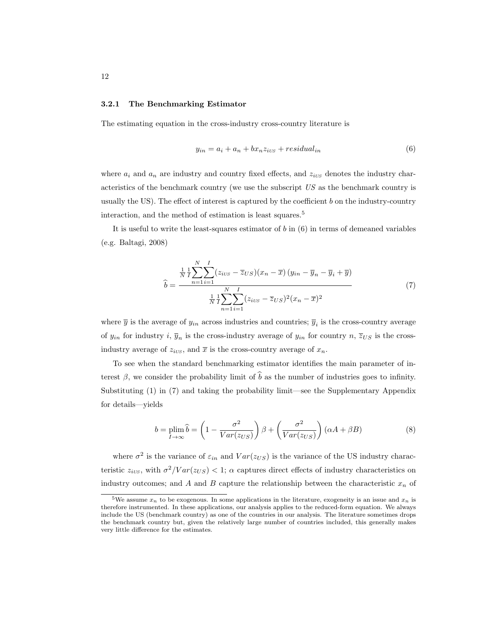#### 3.2.1 The Benchmarking Estimator

The estimating equation in the cross-industry cross-country literature is

$$
y_{in} = a_i + a_n + bx_n z_{i \text{us}} + residual_{in} \tag{6}
$$

where  $a_i$  and  $a_n$  are industry and country fixed effects, and  $z_{iUS}$  denotes the industry characteristics of the benchmark country (we use the subscript US as the benchmark country is usually the US). The effect of interest is captured by the coefficient  $b$  on the industry-country interaction, and the method of estimation is least squares.<sup>5</sup>

It is useful to write the least-squares estimator of  $b$  in  $(6)$  in terms of demeaned variables (e.g. Baltagi, 2008)

$$
\hat{b} = \frac{\frac{1}{N} \frac{1}{I} \sum_{n=1}^{N} \sum_{i=1}^{I} (z_{iUS} - \overline{z}_{US})(x_n - \overline{x}) (y_{in} - \overline{y}_n - \overline{y}_i + \overline{y})}{\frac{1}{N} \frac{1}{I} \sum_{n=1}^{N} \sum_{i=1}^{I} (z_{iUS} - \overline{z}_{US})^2 (x_n - \overline{x})^2}
$$
(7)

where  $\bar{y}$  is the average of  $y_{in}$  across industries and countries;  $\bar{y}_i$  is the cross-country average of  $y_{in}$  for industry i,  $\overline{y}_n$  is the cross-industry average of  $y_{in}$  for country  $n, \overline{z}_{US}$  is the crossindustry average of  $z_{iUS}$ , and  $\bar{x}$  is the cross-country average of  $x_n$ .

To see when the standard benchmarking estimator identifies the main parameter of interest  $\beta$ , we consider the probability limit of  $\hat{b}$  as the number of industries goes to infinity. Substituting (1) in (7) and taking the probability limit—see the Supplementary Appendix for details—yields

$$
b = \plim_{I \to \infty} \hat{b} = \left(1 - \frac{\sigma^2}{Var(z_{US})}\right)\beta + \left(\frac{\sigma^2}{Var(z_{US})}\right)(\alpha A + \beta B) \tag{8}
$$

where  $\sigma^2$  is the variance of  $\varepsilon_{in}$  and  $Var(z_{US})$  is the variance of the US industry characteristic  $z_{iUS}$ , with  $\sigma^2 / Var(z_{US}) < 1$ ;  $\alpha$  captures direct effects of industry characteristics on industry outcomes; and A and B capture the relationship between the characteristic  $x_n$  of

<sup>&</sup>lt;sup>5</sup>We assume  $x_n$  to be exogenous. In some applications in the literature, exogeneity is an issue and  $x_n$  is therefore instrumented. In these applications, our analysis applies to the reduced-form equation. We always include the US (benchmark country) as one of the countries in our analysis. The literature sometimes drops the benchmark country but, given the relatively large number of countries included, this generally makes very little difference for the estimates.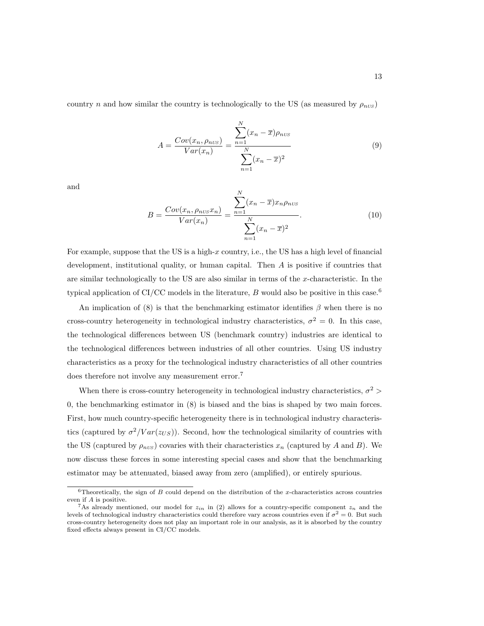country n and how similar the country is technologically to the US (as measured by  $\rho_{nUS}$ )

$$
A = \frac{Cov(x_n, \rho_{nUS})}{Var(x_n)} = \frac{\sum_{n=1}^{N} (x_n - \overline{x})\rho_{nUS}}{\sum_{n=1}^{N} (x_n - \overline{x})^2}
$$
(9)

and

$$
B = \frac{Cov(x_n, \rho_{nUS}x_n)}{Var(x_n)} = \frac{\sum_{n=1}^{N} (x_n - \overline{x})x_n \rho_{nUS}}{\sum_{n=1}^{N} (x_n - \overline{x})^2}.
$$
 (10)

For example, suppose that the US is a high- $x$  country, i.e., the US has a high level of financial development, institutional quality, or human capital. Then A is positive if countries that are similar technologically to the US are also similar in terms of the x-characteristic. In the typical application of CI/CC models in the literature, B would also be positive in this case.<sup>6</sup>

An implication of (8) is that the benchmarking estimator identifies  $\beta$  when there is no cross-country heterogeneity in technological industry characteristics,  $\sigma^2 = 0$ . In this case, the technological differences between US (benchmark country) industries are identical to the technological differences between industries of all other countries. Using US industry characteristics as a proxy for the technological industry characteristics of all other countries does therefore not involve any measurement error.<sup>7</sup>

When there is cross-country heterogeneity in technological industry characteristics,  $\sigma^2$  > 0, the benchmarking estimator in (8) is biased and the bias is shaped by two main forces. First, how much country-specific heterogeneity there is in technological industry characteristics (captured by  $\sigma^2/Var(z_{US})$ ). Second, how the technological similarity of countries with the US (captured by  $\rho_{nUS}$ ) covaries with their characteristics  $x_n$  (captured by A and B). We now discuss these forces in some interesting special cases and show that the benchmarking estimator may be attenuated, biased away from zero (amplified), or entirely spurious.

 $6$ Theoretically, the sign of B could depend on the distribution of the x-characteristics across countries even if A is positive.

<sup>&</sup>lt;sup>7</sup>As already mentioned, our model for  $z_{in}$  in (2) allows for a country-specific component  $z_n$  and the levels of technological industry characteristics could therefore vary across countries even if  $\sigma^2 = 0$ . But such cross-country heterogeneity does not play an important role in our analysis, as it is absorbed by the country fixed effects always present in CI/CC models.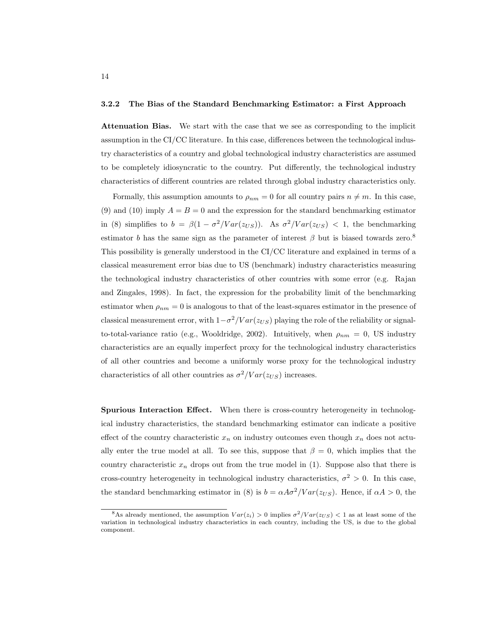#### 3.2.2 The Bias of the Standard Benchmarking Estimator: a First Approach

Attenuation Bias. We start with the case that we see as corresponding to the implicit assumption in the CI/CC literature. In this case, differences between the technological industry characteristics of a country and global technological industry characteristics are assumed to be completely idiosyncratic to the country. Put differently, the technological industry characteristics of different countries are related through global industry characteristics only.

Formally, this assumption amounts to  $\rho_{nm} = 0$  for all country pairs  $n \neq m$ . In this case, (9) and (10) imply  $A = B = 0$  and the expression for the standard benchmarking estimator in (8) simplifies to  $b = \beta(1 - \sigma^2 / Var(z_{US}))$ . As  $\sigma^2 / Var(z_{US}) < 1$ , the benchmarking estimator b has the same sign as the parameter of interest  $\beta$  but is biased towards zero.<sup>8</sup> This possibility is generally understood in the CI/CC literature and explained in terms of a classical measurement error bias due to US (benchmark) industry characteristics measuring the technological industry characteristics of other countries with some error (e.g. Rajan and Zingales, 1998). In fact, the expression for the probability limit of the benchmarking estimator when  $\rho_{nm} = 0$  is analogous to that of the least-squares estimator in the presence of classical measurement error, with  $1-\sigma^2/Var(z_{US})$  playing the role of the reliability or signalto-total-variance ratio (e.g., Wooldridge, 2002). Intuitively, when  $\rho_{nm} = 0$ , US industry characteristics are an equally imperfect proxy for the technological industry characteristics of all other countries and become a uniformly worse proxy for the technological industry characteristics of all other countries as  $\sigma^2/Var(z_{US})$  increases.

Spurious Interaction Effect. When there is cross-country heterogeneity in technological industry characteristics, the standard benchmarking estimator can indicate a positive effect of the country characteristic  $x_n$  on industry outcomes even though  $x_n$  does not actually enter the true model at all. To see this, suppose that  $\beta = 0$ , which implies that the country characteristic  $x_n$  drops out from the true model in  $(1)$ . Suppose also that there is cross-country heterogeneity in technological industry characteristics,  $\sigma^2 > 0$ . In this case, the standard benchmarking estimator in (8) is  $b = \alpha A \sigma^2 / Var(z_{US})$ . Hence, if  $\alpha A > 0$ , the

<sup>&</sup>lt;sup>8</sup>As already mentioned, the assumption  $Var(z_i) > 0$  implies  $\sigma^2 / Var(z_{US}) < 1$  as at least some of the variation in technological industry characteristics in each country, including the US, is due to the global component.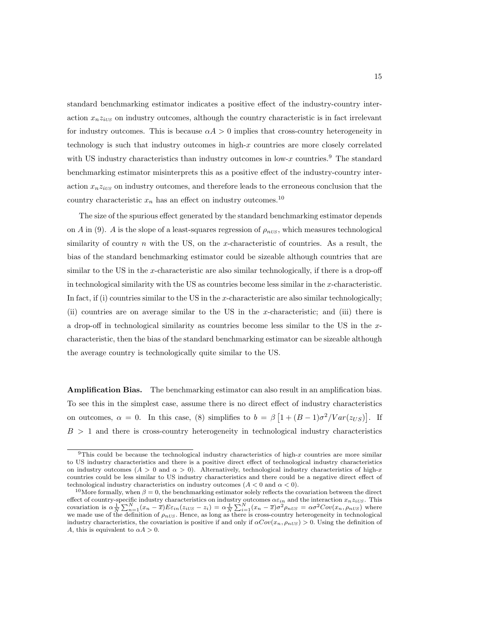standard benchmarking estimator indicates a positive effect of the industry-country interaction  $x_n z_{i\text{US}}$  on industry outcomes, although the country characteristic is in fact irrelevant for industry outcomes. This is because  $\alpha A > 0$  implies that cross-country heterogeneity in technology is such that industry outcomes in high- $x$  countries are more closely correlated with US industry characteristics than industry outcomes in low- $x$  countries.<sup>9</sup> The standard benchmarking estimator misinterprets this as a positive effect of the industry-country interaction  $x_n z_{i\text{US}}$  on industry outcomes, and therefore leads to the erroneous conclusion that the country characteristic  $x_n$  has an effect on industry outcomes.<sup>10</sup>

The size of the spurious effect generated by the standard benchmarking estimator depends on A in (9). A is the slope of a least-squares regression of  $\rho_{nUS}$ , which measures technological similarity of country  $n$  with the US, on the x-characteristic of countries. As a result, the bias of the standard benchmarking estimator could be sizeable although countries that are similar to the US in the x-characteristic are also similar technologically, if there is a drop-off in technological similarity with the US as countries become less similar in the  $x$ -characteristic. In fact, if (i) countries similar to the US in the x-characteristic are also similar technologically; (ii) countries are on average similar to the US in the x-characteristic; and (iii) there is a drop-off in technological similarity as countries become less similar to the US in the xcharacteristic, then the bias of the standard benchmarking estimator can be sizeable although the average country is technologically quite similar to the US.

Amplification Bias. The benchmarking estimator can also result in an amplification bias. To see this in the simplest case, assume there is no direct effect of industry characteristics on outcomes,  $\alpha = 0$ . In this case, (8) simplifies to  $b = \beta \left[1 + (B-1)\sigma^2 / Var(z_{US})\right]$ . If  $B > 1$  and there is cross-country heterogeneity in technological industry characteristics

<sup>&</sup>lt;sup>9</sup>This could be because the technological industry characteristics of high- $x$  countries are more similar to US industry characteristics and there is a positive direct effect of technological industry characteristics on industry outcomes  $(A > 0$  and  $\alpha > 0)$ . Alternatively, technological industry characteristics of high-x countries could be less similar to US industry characteristics and there could be a negative direct effect of technological industry characteristics on industry outcomes  $(A < 0$  and  $\alpha < 0)$ .

<sup>&</sup>lt;sup>10</sup>More formally, when  $\beta = 0$ , the benchmarking estimator solely reflects the covariation between the direct effect of country-specific industry characteristics on industry outcomes  $\alpha \varepsilon_{in}$  and the interaction  $x_n z_{iUS}$ . This covariation is  $\alpha \frac{1}{N} \sum_{n=1}^{N} (x_n - \overline{x}) E \varepsilon_{in} (z_{iUS} - z_i) = \alpha \frac{1}{N} \sum_{i=1}^{N} (x_n - \overline{x}) \sigma^2 \rho_{nUS} = \alpha \sigma^2 Cov(x_n, \rho_{nUS})$  where we made use of the definition of  $\rho_{nUS}$ . Hence, as long as there is cross-country heterogeneity in technological industry characteristics, the covariation is positive if and only if  $\alpha Cov(x_n, \rho_{nUS}) > 0$ . Using the definition of A, this is equivalent to  $\alpha A > 0$ .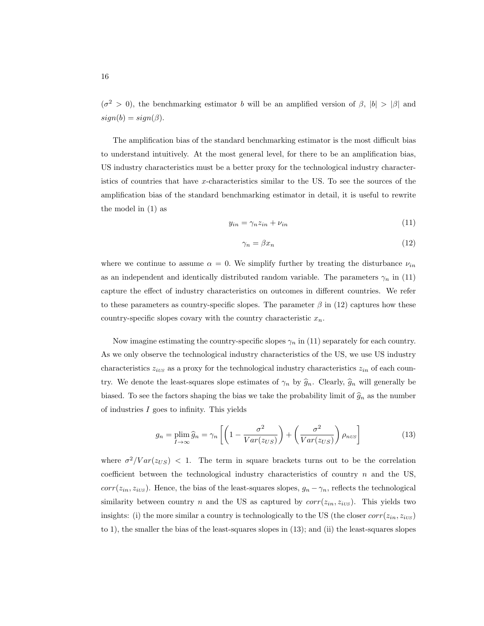$(\sigma^2 > 0)$ , the benchmarking estimator b will be an amplified version of  $\beta$ ,  $|b| > |\beta|$  and  $sign(b) = sign(\beta).$ 

The amplification bias of the standard benchmarking estimator is the most difficult bias to understand intuitively. At the most general level, for there to be an amplification bias, US industry characteristics must be a better proxy for the technological industry characteristics of countries that have x-characteristics similar to the US. To see the sources of the amplification bias of the standard benchmarking estimator in detail, it is useful to rewrite the model in (1) as

$$
y_{in} = \gamma_n z_{in} + \nu_{in} \tag{11}
$$

$$
\gamma_n = \beta x_n \tag{12}
$$

where we continue to assume  $\alpha = 0$ . We simplify further by treating the disturbance  $\nu_{in}$ as an independent and identically distributed random variable. The parameters  $\gamma_n$  in (11) capture the effect of industry characteristics on outcomes in different countries. We refer to these parameters as country-specific slopes. The parameter  $\beta$  in (12) captures how these country-specific slopes covary with the country characteristic  $x_n$ .

Now imagine estimating the country-specific slopes  $\gamma_n$  in (11) separately for each country. As we only observe the technological industry characteristics of the US, we use US industry characteristics  $z_{iUS}$  as a proxy for the technological industry characteristics  $z_{in}$  of each country. We denote the least-squares slope estimates of  $\gamma_n$  by  $\hat{g}_n$ . Clearly,  $\hat{g}_n$  will generally be biased. To see the factors shaping the bias we take the probability limit of  $\hat{g}_n$  as the number of industries I goes to infinity. This yields

$$
g_n = \plim_{I \to \infty} \widehat{g}_n = \gamma_n \left[ \left( 1 - \frac{\sigma^2}{Var(z_{US})} \right) + \left( \frac{\sigma^2}{Var(z_{US})} \right) \rho_{nvs} \right]
$$
(13)

where  $\sigma^2 / Var(z_{US})$  < 1. The term in square brackets turns out to be the correlation coefficient between the technological industry characteristics of country  $n$  and the US,  $corr(z_{in}, z_{iUS})$ . Hence, the bias of the least-squares slopes,  $g_n - \gamma_n$ , reflects the technological similarity between country n and the US as captured by  $corr(z_{in}, z_{ivs})$ . This yields two insights: (i) the more similar a country is technologically to the US (the closer  $corr(z_{in}, z_{ivS})$ to 1), the smaller the bias of the least-squares slopes in (13); and (ii) the least-squares slopes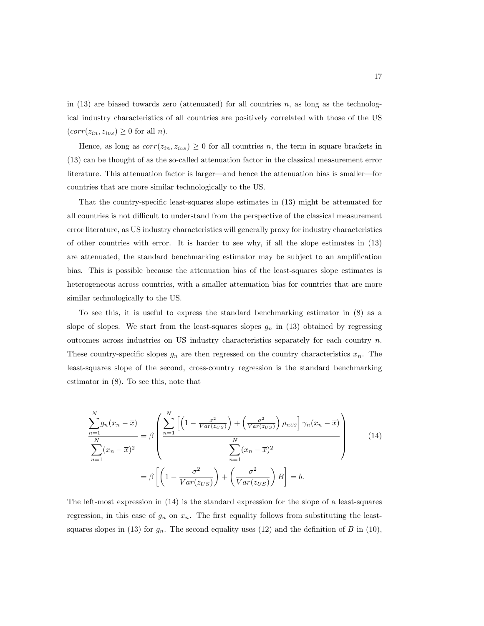in  $(13)$  are biased towards zero (attenuated) for all countries n, as long as the technological industry characteristics of all countries are positively correlated with those of the US  $(corr(z_{in}, z_{iUS}) \geq 0$  for all *n*).

Hence, as long as  $corr(z_{in}, z_{iUS}) \geq 0$  for all countries n, the term in square brackets in (13) can be thought of as the so-called attenuation factor in the classical measurement error literature. This attenuation factor is larger—and hence the attenuation bias is smaller—for countries that are more similar technologically to the US.

That the country-specific least-squares slope estimates in (13) might be attenuated for all countries is not difficult to understand from the perspective of the classical measurement error literature, as US industry characteristics will generally proxy for industry characteristics of other countries with error. It is harder to see why, if all the slope estimates in (13) are attenuated, the standard benchmarking estimator may be subject to an amplification bias. This is possible because the attenuation bias of the least-squares slope estimates is heterogeneous across countries, with a smaller attenuation bias for countries that are more similar technologically to the US.

To see this, it is useful to express the standard benchmarking estimator in (8) as a slope of slopes. We start from the least-squares slopes  $g_n$  in (13) obtained by regressing outcomes across industries on US industry characteristics separately for each country  $n$ . These country-specific slopes  $g_n$  are then regressed on the country characteristics  $x_n$ . The least-squares slope of the second, cross-country regression is the standard benchmarking estimator in (8). To see this, note that

$$
\frac{\sum_{n=1}^{N} g_n(x_n - \overline{x})}{\sum_{n=1}^{N} (x_n - \overline{x})^2} = \beta \left( \frac{\sum_{n=1}^{N} \left[ \left( 1 - \frac{\sigma^2}{Var(z_{US})} \right) + \left( \frac{\sigma^2}{Var(z_{US})} \right) \rho_{nUS} \right] \gamma_n(x_n - \overline{x})}{\sum_{n=1}^{N} (x_n - \overline{x})^2} \right)
$$
\n
$$
= \beta \left[ \left( 1 - \frac{\sigma^2}{Var(z_{US})} \right) + \left( \frac{\sigma^2}{Var(z_{US})} \right) B \right] = b.
$$
\n(14)

The left-most expression in (14) is the standard expression for the slope of a least-squares regression, in this case of  $g_n$  on  $x_n$ . The first equality follows from substituting the leastsquares slopes in (13) for  $g_n$ . The second equality uses (12) and the definition of B in (10),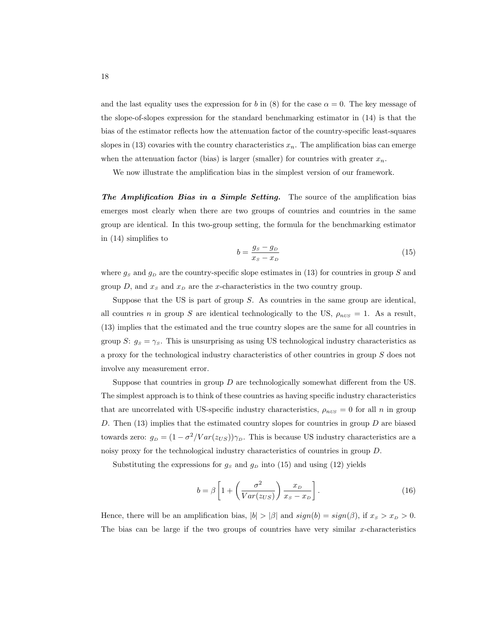and the last equality uses the expression for b in (8) for the case  $\alpha = 0$ . The key message of the slope-of-slopes expression for the standard benchmarking estimator in (14) is that the bias of the estimator reflects how the attenuation factor of the country-specific least-squares slopes in (13) covaries with the country characteristics  $x_n$ . The amplification bias can emerge when the attenuation factor (bias) is larger (smaller) for countries with greater  $x_n$ .

We now illustrate the amplification bias in the simplest version of our framework.

The Amplification Bias in a Simple Setting. The source of the amplification bias emerges most clearly when there are two groups of countries and countries in the same group are identical. In this two-group setting, the formula for the benchmarking estimator in (14) simplifies to

$$
b = \frac{g_s - g_D}{x_s - x_D} \tag{15}
$$

where  $g_S$  and  $g_D$  are the country-specific slope estimates in (13) for countries in group S and group  $D$ , and  $x_S$  and  $x_D$  are the x-characteristics in the two country group.

Suppose that the US is part of group  $S$ . As countries in the same group are identical, all countries n in group S are identical technologically to the US,  $\rho_{nUS} = 1$ . As a result, (13) implies that the estimated and the true country slopes are the same for all countries in group S:  $g_s = \gamma_s$ . This is unsurprising as using US technological industry characteristics as a proxy for the technological industry characteristics of other countries in group  $S$  does not involve any measurement error.

Suppose that countries in group  $D$  are technologically somewhat different from the US. The simplest approach is to think of these countries as having specific industry characteristics that are uncorrelated with US-specific industry characteristics,  $\rho_{nUS} = 0$  for all n in group D. Then  $(13)$  implies that the estimated country slopes for countries in group D are biased towards zero:  $g_D = (1 - \sigma^2 / Var(z_{US})) \gamma_D$ . This is because US industry characteristics are a noisy proxy for the technological industry characteristics of countries in group D.

Substituting the expressions for  $g_s$  and  $g_D$  into (15) and using (12) yields

$$
b = \beta \left[ 1 + \left( \frac{\sigma^2}{Var(z_{US})} \right) \frac{x_D}{x_S - x_D} \right].
$$
 (16)

Hence, there will be an amplification bias,  $|b| > |\beta|$  and  $sign(b) = sign(\beta)$ , if  $x_s > x_p > 0$ . The bias can be large if the two groups of countries have very similar  $x$ -characteristics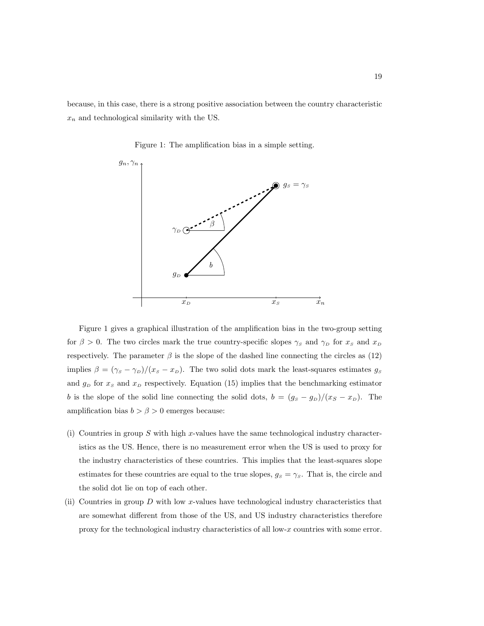because, in this case, there is a strong positive association between the country characteristic  $x_n$  and technological similarity with the US.

Figure 1: The amplification bias in a simple setting.



Figure 1 gives a graphical illustration of the amplification bias in the two-group setting for  $\beta > 0$ . The two circles mark the true country-specific slopes  $\gamma_S$  and  $\gamma_D$  for  $x_S$  and  $x_D$ respectively. The parameter  $\beta$  is the slope of the dashed line connecting the circles as (12) implies  $\beta = (\gamma_s - \gamma_D)/(x_s - x_D)$ . The two solid dots mark the least-squares estimates  $g_s$ and  $g_D$  for  $x_S$  and  $x_D$  respectively. Equation (15) implies that the benchmarking estimator b is the slope of the solid line connecting the solid dots,  $b = (g_S - g_D)/(x_S - x_D)$ . The amplification bias  $b > \beta > 0$  emerges because:

- (i) Countries in group S with high x-values have the same technological industry characteristics as the US. Hence, there is no measurement error when the US is used to proxy for the industry characteristics of these countries. This implies that the least-squares slope estimates for these countries are equal to the true slopes,  $g_s = \gamma_s$ . That is, the circle and the solid dot lie on top of each other.
- (ii) Countries in group  $D$  with low x-values have technological industry characteristics that are somewhat different from those of the US, and US industry characteristics therefore proxy for the technological industry characteristics of all low-x countries with some error.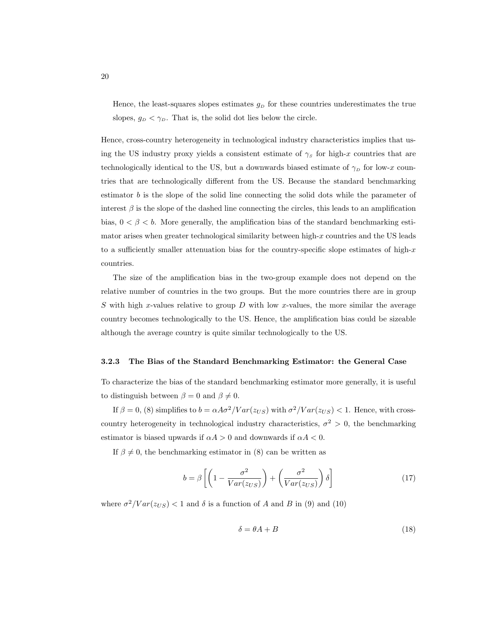Hence, the least-squares slopes estimates  $g_D$  for these countries underestimates the true slopes,  $g_D < \gamma_D$ . That is, the solid dot lies below the circle.

Hence, cross-country heterogeneity in technological industry characteristics implies that using the US industry proxy yields a consistent estimate of  $\gamma_s$  for high-x countries that are technologically identical to the US, but a downwards biased estimate of  $\gamma_D$  for low-x countries that are technologically different from the US. Because the standard benchmarking estimator  $b$  is the slope of the solid line connecting the solid dots while the parameter of interest  $\beta$  is the slope of the dashed line connecting the circles, this leads to an amplification bias,  $0 < \beta < b$ . More generally, the amplification bias of the standard benchmarking estimator arises when greater technological similarity between high- $x$  countries and the US leads to a sufficiently smaller attenuation bias for the country-specific slope estimates of high- $x$ countries.

The size of the amplification bias in the two-group example does not depend on the relative number of countries in the two groups. But the more countries there are in group S with high x-values relative to group  $D$  with low x-values, the more similar the average country becomes technologically to the US. Hence, the amplification bias could be sizeable although the average country is quite similar technologically to the US.

#### 3.2.3 The Bias of the Standard Benchmarking Estimator: the General Case

To characterize the bias of the standard benchmarking estimator more generally, it is useful to distinguish between  $\beta = 0$  and  $\beta \neq 0$ .

If  $\beta = 0$ , (8) simplifies to  $b = \alpha A \sigma^2 / Var(z_{US})$  with  $\sigma^2 / Var(z_{US}) < 1$ . Hence, with crosscountry heterogeneity in technological industry characteristics,  $\sigma^2 > 0$ , the benchmarking estimator is biased upwards if  $\alpha A > 0$  and downwards if  $\alpha A < 0$ .

If  $\beta \neq 0$ , the benchmarking estimator in (8) can be written as

$$
b = \beta \left[ \left( 1 - \frac{\sigma^2}{Var(z_{US})} \right) + \left( \frac{\sigma^2}{Var(z_{US})} \right) \delta \right]
$$
 (17)

where  $\sigma^2 / Var(z_{US}) < 1$  and  $\delta$  is a function of A and B in (9) and (10)

$$
\delta = \theta A + B \tag{18}
$$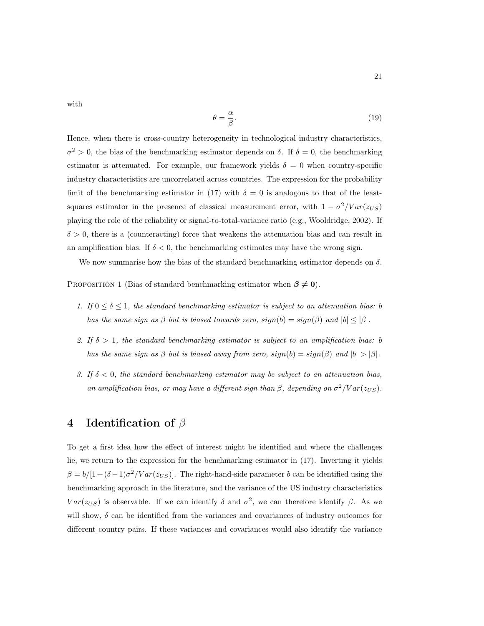with

$$
\theta = \frac{\alpha}{\beta}.\tag{19}
$$

Hence, when there is cross-country heterogeneity in technological industry characteristics,  $\sigma^2 > 0$ , the bias of the benchmarking estimator depends on  $\delta$ . If  $\delta = 0$ , the benchmarking estimator is attenuated. For example, our framework yields  $\delta = 0$  when country-specific industry characteristics are uncorrelated across countries. The expression for the probability limit of the benchmarking estimator in (17) with  $\delta = 0$  is analogous to that of the leastsquares estimator in the presence of classical measurement error, with  $1 - \sigma^2 / Var(z_{US})$ playing the role of the reliability or signal-to-total-variance ratio (e.g., Wooldridge, 2002). If  $\delta > 0$ , there is a (counteracting) force that weakens the attenuation bias and can result in an amplification bias. If  $\delta < 0$ , the benchmarking estimates may have the wrong sign.

We now summarise how the bias of the standard benchmarking estimator depends on  $\delta$ .

PROPOSITION 1 (Bias of standard benchmarking estimator when  $\beta \neq 0$ ).

- 1. If  $0 \le \delta \le 1$ , the standard benchmarking estimator is subject to an attenuation bias: b has the same sign as  $\beta$  but is biased towards zero,  $sign(b) = sign(\beta)$  and  $|b| \leq |\beta|$ .
- 2. If  $\delta > 1$ , the standard benchmarking estimator is subject to an amplification bias: b has the same sign as  $\beta$  but is biased away from zero,  $sign(b) = sign(\beta)$  and  $|b| > |\beta|$ .
- 3. If  $\delta$  < 0, the standard benchmarking estimator may be subject to an attenuation bias, an amplification bias, or may have a different sign than  $\beta$ , depending on  $\sigma^2 / Var(z_{US})$ .

# 4 Identification of  $\beta$

To get a first idea how the effect of interest might be identified and where the challenges lie, we return to the expression for the benchmarking estimator in (17). Inverting it yields  $\beta = b/[1+(\delta-1)\sigma^2/Var(z_{US})]$ . The right-hand-side parameter b can be identified using the benchmarking approach in the literature, and the variance of the US industry characteristics  $Var(z_{US})$  is observable. If we can identify  $\delta$  and  $\sigma^2$ , we can therefore identify  $\beta$ . As we will show,  $\delta$  can be identified from the variances and covariances of industry outcomes for different country pairs. If these variances and covariances would also identify the variance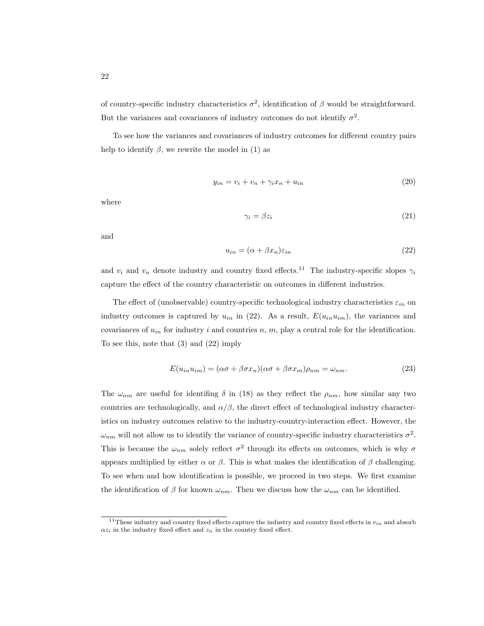of country-specific industry characteristics  $\sigma^2$ , identification of  $\beta$  would be straightforward. But the variances and covariances of industry outcomes do not identify  $\sigma^2$ .

To see how the variances and covariances of industry outcomes for different country pairs help to identify  $\beta$ , we rewrite the model in (1) as

$$
y_{in} = v_i + v_n + \gamma_i x_n + u_{in} \tag{20}
$$

where

$$
\gamma_i = \beta z_i \tag{21}
$$

and

$$
u_{in} = (\alpha + \beta x_n)\varepsilon_{in} \tag{22}
$$

and  $v_i$  and  $v_n$  denote industry and country fixed effects.<sup>11</sup> The industry-specific slopes  $\gamma_i$ capture the effect of the country characteristic on outcomes in different industries.

The effect of (unobservable) country-specific technological industry characteristics  $\varepsilon_{in}$  on industry outcomes is captured by  $u_{in}$  in (22). As a result,  $E(u_{in}u_{im})$ , the variances and covariances of  $u_{in}$  for industry i and countries n, m, play a central role for the identification. To see this, note that (3) and (22) imply

$$
E(u_{in}u_{im}) = (\alpha \sigma + \beta \sigma x_n)(\alpha \sigma + \beta \sigma x_m)\rho_{nm} = \omega_{nm}.
$$
\n(23)

The  $\omega_{nm}$  are useful for identifing  $\delta$  in (18) as they reflect the  $\rho_{nm}$ , how similar any two countries are technologically, and  $\alpha/\beta$ , the direct effect of technological industry characteristics on industry outcomes relative to the industry-country-interaction effect. However, the  $\omega_{nm}$  will not allow us to identify the variance of country-specific industry characteristics  $\sigma^2$ . This is because the  $\omega_{nm}$  solely reflect  $\sigma^2$  through its effects on outcomes, which is why  $\sigma$ appears multiplied by either  $\alpha$  or  $\beta$ . This is what makes the identification of  $\beta$  challenging. To see when and how identification is possible, we proceed in two steps. We first examine the identification of  $\beta$  for known  $\omega_{nm}$ . Then we discuss how the  $\omega_{nm}$  can be identified.

<sup>&</sup>lt;sup>11</sup>These industry and country fixed effects capture the industry and country fixed effects in  $v_{in}$  and absorb  $\alpha z_i$  in the industry fixed effect and  $z_n$  in the country fixed effect.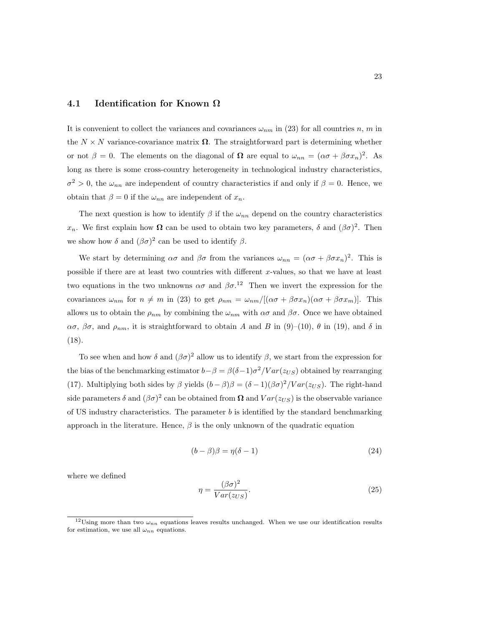#### 4.1 Identification for Known  $\Omega$

It is convenient to collect the variances and covariances  $\omega_{nm}$  in (23) for all countries n, m in the  $N \times N$  variance-covariance matrix  $\Omega$ . The straightforward part is determining whether or not  $\beta = 0$ . The elements on the diagonal of  $\Omega$  are equal to  $\omega_{nn} = (\alpha \sigma + \beta \sigma x_n)^2$ . As long as there is some cross-country heterogeneity in technological industry characteristics,  $\sigma^2 > 0$ , the  $\omega_{nn}$  are independent of country characteristics if and only if  $\beta = 0$ . Hence, we obtain that  $\beta = 0$  if the  $\omega_{nn}$  are independent of  $x_n$ .

The next question is how to identify  $\beta$  if the  $\omega_{nn}$  depend on the country characteristics  $x_n$ . We first explain how  $\Omega$  can be used to obtain two key parameters,  $\delta$  and  $(\beta\sigma)^2$ . Then we show how  $\delta$  and  $(\beta \sigma)^2$  can be used to identify  $\beta$ .

We start by determining  $\alpha\sigma$  and  $\beta\sigma$  from the variances  $\omega_{nn} = (\alpha\sigma + \beta\sigma x_n)^2$ . This is possible if there are at least two countries with different x-values, so that we have at least two equations in the two unknowns  $\alpha\sigma$  and  $\beta\sigma$ <sup>12</sup>. Then we invert the expression for the covariances  $\omega_{nm}$  for  $n \neq m$  in (23) to get  $\rho_{nm} = \omega_{nm}/[(\alpha \sigma + \beta \sigma x_n)(\alpha \sigma + \beta \sigma x_m)]$ . This allows us to obtain the  $\rho_{nm}$  by combining the  $\omega_{nm}$  with  $\alpha\sigma$  and  $\beta\sigma$ . Once we have obtained  $\alpha\sigma$ ,  $\beta\sigma$ , and  $\rho_{nm}$ , it is straightforward to obtain A and B in (9)–(10),  $\theta$  in (19), and  $\delta$  in (18).

To see when and how  $\delta$  and  $(\beta \sigma)^2$  allow us to identify  $\beta$ , we start from the expression for the bias of the benchmarking estimator  $b - \beta = \beta(\delta - 1)\sigma^2 / Var(z_{US})$  obtained by rearranging (17). Multiplying both sides by  $\beta$  yields  $(b - \beta)\beta = (\delta - 1)(\beta\sigma)^2 / Var(z_{US})$ . The right-hand side parameters  $\delta$  and  $(\beta \sigma)^2$  can be obtained from  $\Omega$  and  $Var(z_{US})$  is the observable variance of US industry characteristics. The parameter  $b$  is identified by the standard benchmarking approach in the literature. Hence,  $\beta$  is the only unknown of the quadratic equation

$$
(b - \beta)\beta = \eta(\delta - 1) \tag{24}
$$

where we defined

$$
\eta = \frac{(\beta \sigma)^2}{Var(z_{US})}.\tag{25}
$$

<sup>&</sup>lt;sup>12</sup>Using more than two  $\omega_{nn}$  equations leaves results unchanged. When we use our identification results for estimation, we use all  $\omega_{nn}$  equations.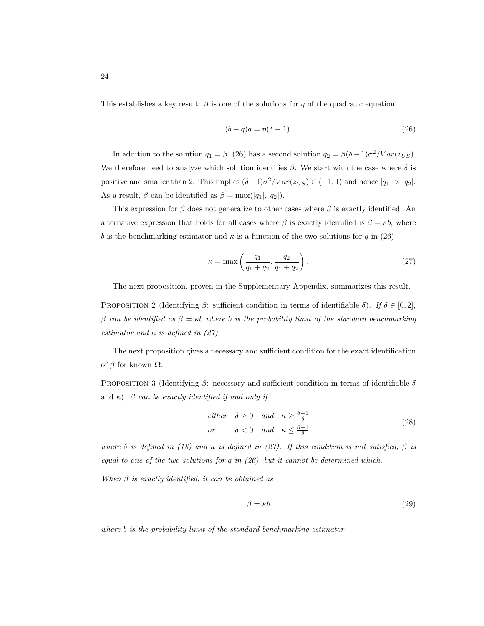This establishes a key result:  $\beta$  is one of the solutions for q of the quadratic equation

$$
(b-q)q = \eta(\delta - 1). \tag{26}
$$

In addition to the solution  $q_1 = \beta$ , (26) has a second solution  $q_2 = \beta(\delta - 1)\sigma^2 / Var(z_{US})$ . We therefore need to analyze which solution identifies  $\beta$ . We start with the case where  $\delta$  is positive and smaller than 2. This implies  $(\delta - 1)\sigma^2 / Var(z_{US}) \in (-1, 1)$  and hence  $|q_1| > |q_2|$ . As a result,  $\beta$  can be identified as  $\beta = \max(|q_1|, |q_2|)$ .

This expression for  $\beta$  does not generalize to other cases where  $\beta$  is exactly identified. An alternative expression that holds for all cases where  $\beta$  is exactly identified is  $\beta = \kappa b$ , where b is the benchmarking estimator and  $\kappa$  is a function of the two solutions for q in (26)

$$
\kappa = \max\left(\frac{q_1}{q_1 + q_2}, \frac{q_2}{q_1 + q_2}\right). \tag{27}
$$

The next proposition, proven in the Supplementary Appendix, summarizes this result.

PROPOSITION 2 (Identifying  $\beta$ : sufficient condition in terms of identifiable  $\delta$ ). If  $\delta \in [0,2]$ , β can be identified as  $β = κb$  where b is the probability limit of the standard benchmarking estimator and  $\kappa$  is defined in (27).

The next proposition gives a necessary and sufficient condition for the exact identification of  $\beta$  for known  $\Omega$ .

PROPOSITION 3 (Identifying β: necessary and sufficient condition in terms of identifiable  $\delta$ and  $\kappa$ ).  $\beta$  can be exactly identified if and only if

$$
either \quad \delta \ge 0 \quad and \quad \kappa \ge \frac{\delta - 1}{\delta}
$$
\n
$$
or \qquad \delta < 0 \quad and \quad \kappa \le \frac{\delta - 1}{\delta}
$$
\n
$$
(28)
$$

where  $\delta$  is defined in (18) and  $\kappa$  is defined in (27). If this condition is not satisfied,  $\beta$  is equal to one of the two solutions for  $q$  in  $(26)$ , but it cannot be determined which.

When  $\beta$  is exactly identified, it can be obtained as

$$
\beta = \kappa b \tag{29}
$$

where b is the probability limit of the standard benchmarking estimator.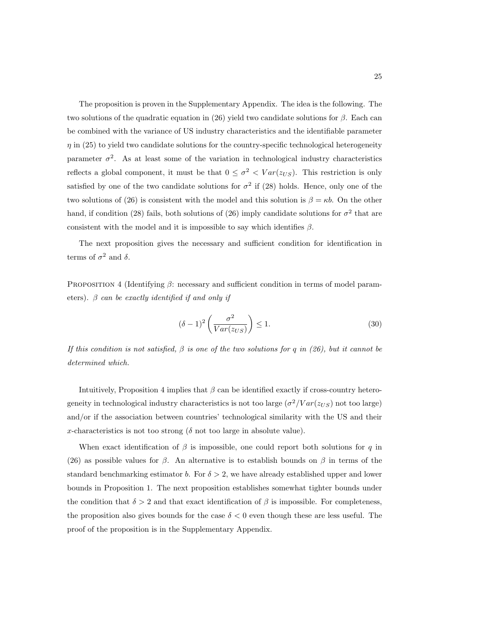The proposition is proven in the Supplementary Appendix. The idea is the following. The two solutions of the quadratic equation in (26) yield two candidate solutions for  $\beta$ . Each can be combined with the variance of US industry characteristics and the identifiable parameter  $\eta$  in (25) to yield two candidate solutions for the country-specific technological heterogeneity parameter  $\sigma^2$ . As at least some of the variation in technological industry characteristics reflects a global component, it must be that  $0 \leq \sigma^2 < Var(z_{US})$ . This restriction is only satisfied by one of the two candidate solutions for  $\sigma^2$  if (28) holds. Hence, only one of the two solutions of (26) is consistent with the model and this solution is  $\beta = \kappa b$ . On the other hand, if condition (28) fails, both solutions of (26) imply candidate solutions for  $\sigma^2$  that are consistent with the model and it is impossible to say which identifies  $\beta$ .

The next proposition gives the necessary and sufficient condition for identification in terms of  $\sigma^2$  and  $\delta$ .

PROPOSITION 4 (Identifying  $\beta$ : necessary and sufficient condition in terms of model parameters).  $\beta$  can be exactly identified if and only if

$$
(\delta - 1)^2 \left(\frac{\sigma^2}{Var(z_{US})}\right) \le 1.
$$
\n(30)

If this condition is not satisfied,  $\beta$  is one of the two solutions for q in (26), but it cannot be determined which.

Intuitively, Proposition 4 implies that  $\beta$  can be identified exactly if cross-country heterogeneity in technological industry characteristics is not too large  $(\sigma^2/Var(z_{US}))$  not too large) and/or if the association between countries' technological similarity with the US and their x-characteristics is not too strong ( $\delta$  not too large in absolute value).

When exact identification of  $\beta$  is impossible, one could report both solutions for q in (26) as possible values for  $\beta$ . An alternative is to establish bounds on  $\beta$  in terms of the standard benchmarking estimator b. For  $\delta > 2$ , we have already established upper and lower bounds in Proposition 1. The next proposition establishes somewhat tighter bounds under the condition that  $\delta > 2$  and that exact identification of  $\beta$  is impossible. For completeness, the proposition also gives bounds for the case  $\delta < 0$  even though these are less useful. The proof of the proposition is in the Supplementary Appendix.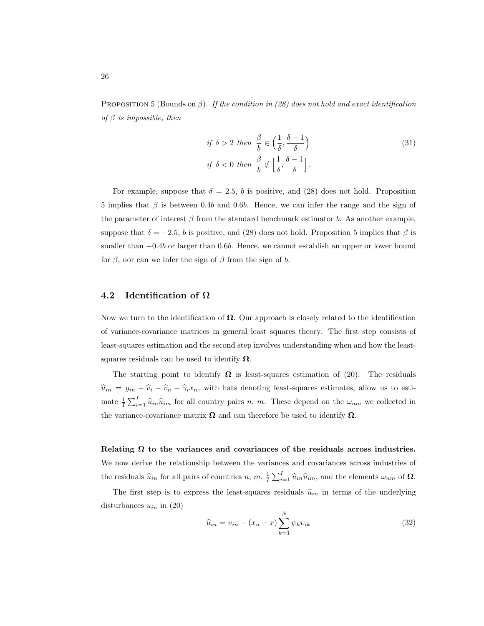PROPOSITION 5 (Bounds on  $\beta$ ). If the condition in (28) does not hold and exact identification of  $\beta$  is impossible, then

$$
if \delta > 2 then \frac{\beta}{b} \in \left(\frac{1}{\delta}, \frac{\delta - 1}{\delta}\right)
$$
  

$$
if \delta < 0 then \frac{\beta}{b} \notin \left[\frac{1}{\delta}, \frac{\delta - 1}{\delta}\right].
$$
 (31)

For example, suppose that  $\delta = 2.5$ , b is positive, and (28) does not hold. Proposition 5 implies that  $\beta$  is between 0.4b and 0.6b. Hence, we can infer the range and the sign of the parameter of interest  $\beta$  from the standard benchmark estimator b. As another example, suppose that  $\delta = -2.5$ , b is positive, and (28) does not hold. Proposition 5 implies that  $\beta$  is smaller than  $-0.4b$  or larger than 0.6b. Hence, we cannot establish an upper or lower bound for  $\beta$ , nor can we infer the sign of  $\beta$  from the sign of b.

### 4.2 Identification of  $\Omega$

Now we turn to the identification of  $\Omega$ . Our approach is closely related to the identification of variance-covariance matrices in general least squares theory. The first step consists of least-squares estimation and the second step involves understanding when and how the leastsquares residuals can be used to identify  $\Omega$ .

The starting point to identify  $\Omega$  is least-squares estimation of (20). The residuals  $\hat{u}_{in} = y_{in} - \hat{v}_i - \hat{v}_n - \hat{\gamma}_i x_n$ , with hats denoting least-squares estimates, allow us to estimate  $\frac{1}{I}\sum_{i=1}^I \hat{u}_{in} \hat{u}_{im}$  for all country pairs n, m. These depend on the  $\omega_{nm}$  we collected in the variance-covariance matrix  $\Omega$  and can therefore be used to identify  $\Omega$ .

Relating  $\Omega$  to the variances and covariances of the residuals across industries. We now derive the relationship between the variances and covariances across industries of the residuals  $\hat{u}_{in}$  for all pairs of countries n, m,  $\frac{1}{I}\sum_{i=1}^{I}\hat{u}_{in}\hat{u}_{im}$ , and the elements  $\omega_{nm}$  of  $\Omega$ .

The first step is to express the least-squares residuals  $\hat{u}_{in}$  in terms of the underlying disturbances  $u_{in}$  in  $(20)$ 

$$
\widehat{u}_{in} = v_{in} - (x_n - \overline{x}) \sum_{k=1}^{N} \psi_k v_{ik}
$$
\n(32)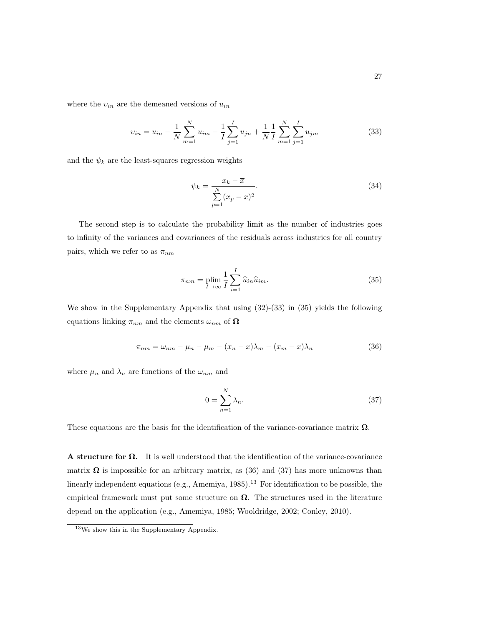where the  $v_{in}$  are the demeaned versions of  $u_{in}$ 

$$
v_{in} = u_{in} - \frac{1}{N} \sum_{m=1}^{N} u_{im} - \frac{1}{I} \sum_{j=1}^{I} u_{jn} + \frac{1}{N} \frac{1}{I} \sum_{m=1}^{N} \sum_{j=1}^{I} u_{jm}
$$
(33)

and the  $\psi_k$  are the least-squares regression weights

$$
\psi_k = \frac{x_k - \overline{x}}{\sum_{p=1}^{N} (x_p - \overline{x})^2}.
$$
\n(34)

The second step is to calculate the probability limit as the number of industries goes to infinity of the variances and covariances of the residuals across industries for all country pairs, which we refer to as  $\pi_{nm}$ 

$$
\pi_{nm} = \plim_{I \to \infty} \frac{1}{I} \sum_{i=1}^{I} \widehat{u}_{in} \widehat{u}_{im}.
$$
\n(35)

We show in the Supplementary Appendix that using  $(32)-(33)$  in  $(35)$  yields the following equations linking  $\pi_{nm}$  and the elements  $\omega_{nm}$  of  $\Omega$ 

$$
\pi_{nm} = \omega_{nm} - \mu_n - \mu_m - (x_n - \overline{x})\lambda_m - (x_m - \overline{x})\lambda_n \tag{36}
$$

where  $\mu_n$  and  $\lambda_n$  are functions of the  $\omega_{nm}$  and

$$
0 = \sum_{n=1}^{N} \lambda_n.
$$
\n(37)

These equations are the basis for the identification of the variance-covariance matrix  $\Omega$ .

**A structure for**  $\Omega$ **.** It is well understood that the identification of the variance-covariance matrix  $\Omega$  is impossible for an arbitrary matrix, as (36) and (37) has more unknowns than linearly independent equations (e.g., Amemiya,  $1985$ ).<sup>13</sup> For identification to be possible, the empirical framework must put some structure on  $\Omega$ . The structures used in the literature depend on the application (e.g., Amemiya, 1985; Wooldridge, 2002; Conley, 2010).

<sup>&</sup>lt;sup>13</sup>We show this in the Supplementary Appendix.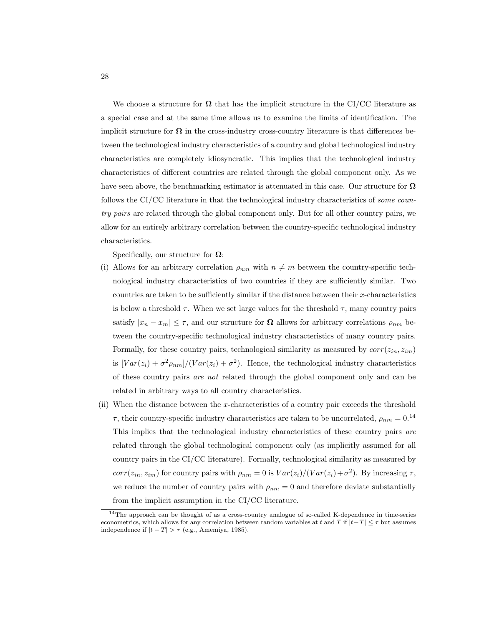We choose a structure for  $\Omega$  that has the implicit structure in the CI/CC literature as a special case and at the same time allows us to examine the limits of identification. The implicit structure for  $\Omega$  in the cross-industry cross-country literature is that differences between the technological industry characteristics of a country and global technological industry characteristics are completely idiosyncratic. This implies that the technological industry characteristics of different countries are related through the global component only. As we have seen above, the benchmarking estimator is attenuated in this case. Our structure for  $\Omega$ follows the CI/CC literature in that the technological industry characteristics of *some coun*try pairs are related through the global component only. But for all other country pairs, we allow for an entirely arbitrary correlation between the country-specific technological industry characteristics.

Specifically, our structure for  $\Omega$ :

- (i) Allows for an arbitrary correlation  $\rho_{nm}$  with  $n \neq m$  between the country-specific technological industry characteristics of two countries if they are sufficiently similar. Two countries are taken to be sufficiently similar if the distance between their  $x$ -characteristics is below a threshold  $\tau$ . When we set large values for the threshold  $\tau$ , many country pairs satisfy  $|x_n - x_m| \leq \tau$ , and our structure for  $\Omega$  allows for arbitrary correlations  $\rho_{nm}$  between the country-specific technological industry characteristics of many country pairs. Formally, for these country pairs, technological similarity as measured by  $corr(z_{in}, z_{im})$ is  $[Var(z_i) + \sigma^2 \rho_{nm}]/(Var(z_i) + \sigma^2)$ . Hence, the technological industry characteristics of these country pairs are not related through the global component only and can be related in arbitrary ways to all country characteristics.
- (ii) When the distance between the x-characteristics of a country pair exceeds the threshold  $\tau$ , their country-specific industry characteristics are taken to be uncorrelated,  $\rho_{nm} = 0.14$ This implies that the technological industry characteristics of these country pairs are related through the global technological component only (as implicitly assumed for all country pairs in the CI/CC literature). Formally, technological similarity as measured by  $corr(z_{in}, z_{im})$  for country pairs with  $\rho_{nm} = 0$  is  $Var(z_i)/(Var(z_i) + \sigma^2)$ . By increasing  $\tau$ , we reduce the number of country pairs with  $\rho_{nm} = 0$  and therefore deviate substantially from the implicit assumption in the CI/CC literature.

 $14$ The approach can be thought of as a cross-country analogue of so-called K-dependence in time-series econometrics, which allows for any correlation between random variables at t and T if  $|t-T| \leq \tau$  but assumes independence if  $|t-T| > \tau$  (e.g., Amemiya, 1985).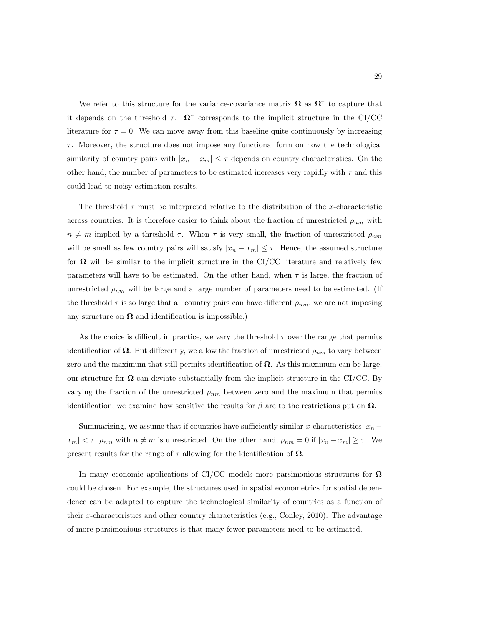We refer to this structure for the variance-covariance matrix  $\Omega$  as  $\Omega^{\tau}$  to capture that it depends on the threshold  $\tau$ .  $\Omega^{\tau}$  corresponds to the implicit structure in the CI/CC literature for  $\tau = 0$ . We can move away from this baseline quite continuously by increasing  $\tau$ . Moreover, the structure does not impose any functional form on how the technological similarity of country pairs with  $|x_n - x_m| \leq \tau$  depends on country characteristics. On the other hand, the number of parameters to be estimated increases very rapidly with  $\tau$  and this could lead to noisy estimation results.

The threshold  $\tau$  must be interpreted relative to the distribution of the x-characteristic across countries. It is therefore easier to think about the fraction of unrestricted  $\rho_{nm}$  with  $n \neq m$  implied by a threshold  $\tau$ . When  $\tau$  is very small, the fraction of unrestricted  $\rho_{nm}$ will be small as few country pairs will satisfy  $|x_n - x_m| \leq \tau$ . Hence, the assumed structure for  $\Omega$  will be similar to the implicit structure in the CI/CC literature and relatively few parameters will have to be estimated. On the other hand, when  $\tau$  is large, the fraction of unrestricted  $\rho_{nm}$  will be large and a large number of parameters need to be estimated. (If the threshold  $\tau$  is so large that all country pairs can have different  $\rho_{nm}$ , we are not imposing any structure on  $\Omega$  and identification is impossible.)

As the choice is difficult in practice, we vary the threshold  $\tau$  over the range that permits identification of  $\Omega$ . Put differently, we allow the fraction of unrestricted  $\rho_{nm}$  to vary between zero and the maximum that still permits identification of  $\Omega$ . As this maximum can be large, our structure for  $\Omega$  can deviate substantially from the implicit structure in the CI/CC. By varying the fraction of the unrestricted  $\rho_{nm}$  between zero and the maximum that permits identification, we examine how sensitive the results for  $\beta$  are to the restrictions put on  $\Omega$ .

Summarizing, we assume that if countries have sufficiently similar x-characteristics  $|x_n$  $x_m$   $<$   $\tau$ ,  $\rho_{nm}$  with  $n \neq m$  is unrestricted. On the other hand,  $\rho_{nm} = 0$  if  $|x_n - x_m| \geq \tau$ . We present results for the range of  $\tau$  allowing for the identification of  $\Omega$ .

In many economic applications of CI/CC models more parsimonious structures for  $\Omega$ could be chosen. For example, the structures used in spatial econometrics for spatial dependence can be adapted to capture the technological similarity of countries as a function of their x-characteristics and other country characteristics (e.g., Conley, 2010). The advantage of more parsimonious structures is that many fewer parameters need to be estimated.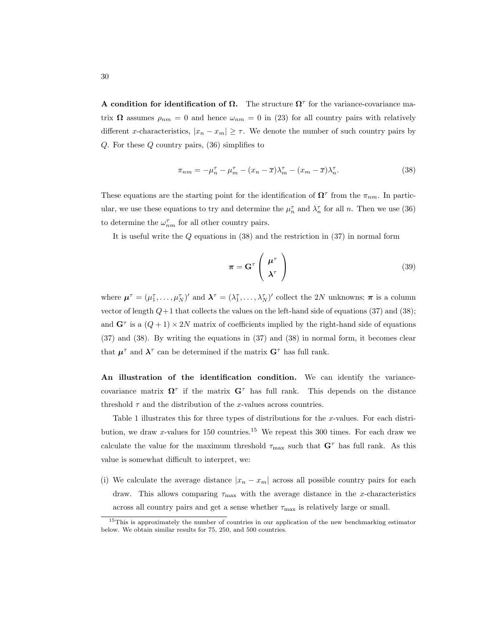**A condition for identification of**  $\Omega$ **.** The structure  $\Omega^{\tau}$  for the variance-covariance matrix  $\Omega$  assumes  $\rho_{nm} = 0$  and hence  $\omega_{nm} = 0$  in (23) for all country pairs with relatively different x-characteristics,  $|x_n - x_m| \geq \tau$ . We denote the number of such country pairs by Q. For these Q country pairs, (36) simplifies to

$$
\pi_{nm} = -\mu_n^{\tau} - \mu_m^{\tau} - (x_n - \overline{x})\lambda_m^{\tau} - (x_m - \overline{x})\lambda_n^{\tau}.
$$
\n(38)

These equations are the starting point for the identification of  $\Omega^{\tau}$  from the  $\pi_{nm}$ . In particular, we use these equations to try and determine the  $\mu_n^{\tau}$  and  $\lambda_n^{\tau}$  for all n. Then we use (36) to determine the  $\omega_{nm}^{\tau}$  for all other country pairs.

It is useful write the  $Q$  equations in  $(38)$  and the restriction in  $(37)$  in normal form

$$
\boldsymbol{\pi} = \mathbf{G}^{\tau} \left( \begin{array}{c} \boldsymbol{\mu}^{\tau} \\ \boldsymbol{\lambda}^{\tau} \end{array} \right) \tag{39}
$$

where  $\mu^{\tau} = (\mu_1^{\tau}, \dots, \mu_N^{\tau})'$  and  $\lambda^{\tau} = (\lambda_1^{\tau}, \dots, \lambda_N^{\tau})'$  collect the 2N unknowns;  $\pi$  is a column vector of length  $Q+1$  that collects the values on the left-hand side of equations (37) and (38); and  $G^{\tau}$  is a  $(Q+1) \times 2N$  matrix of coefficients implied by the right-hand side of equations (37) and (38). By writing the equations in (37) and (38) in normal form, it becomes clear that  $\mu^{\tau}$  and  $\lambda^{\tau}$  can be determined if the matrix  $G^{\tau}$  has full rank.

An illustration of the identification condition. We can identify the variancecovariance matrix  $\Omega^{\tau}$  if the matrix  $G^{\tau}$  has full rank. This depends on the distance threshold  $\tau$  and the distribution of the x-values across countries.

Table 1 illustrates this for three types of distributions for the x-values. For each distribution, we draw x-values for 150 countries.<sup>15</sup> We repeat this 300 times. For each draw we calculate the value for the maximum threshold  $\tau_{\text{max}}$  such that  $\mathbf{G}^{\tau}$  has full rank. As this value is somewhat difficult to interpret, we:

(i) We calculate the average distance  $|x_n - x_m|$  across all possible country pairs for each draw. This allows comparing  $\tau_{\text{max}}$  with the average distance in the x-characteristics across all country pairs and get a sense whether  $\tau_{\text{max}}$  is relatively large or small.

<sup>&</sup>lt;sup>15</sup>This is approximately the number of countries in our application of the new benchmarking estimator below. We obtain similar results for 75, 250, and 500 countries.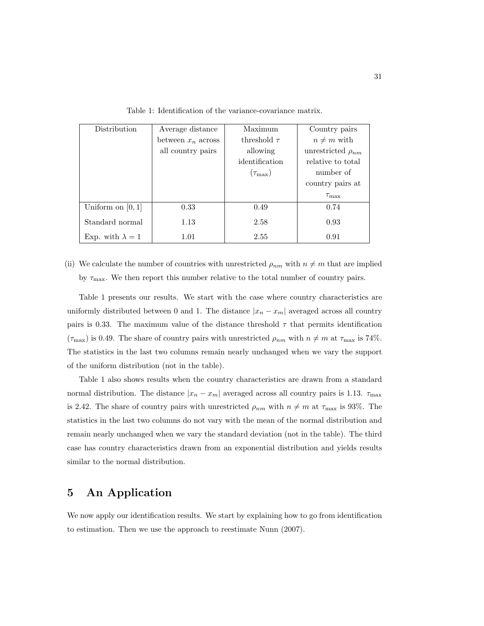| Distribution            | Average distance     | Maximum            | Country pairs            |
|-------------------------|----------------------|--------------------|--------------------------|
|                         | between $x_n$ across | threshold $\tau$   | $n \neq m$ with          |
|                         | all country pairs    | allowing           | unrestricted $\rho_{nm}$ |
|                         |                      | identification     | relative to total        |
|                         |                      | $(\tau_{\rm max})$ | number of                |
|                         |                      |                    | country pairs at         |
|                         |                      |                    | $\tau_{\rm max}$         |
| Uniform on $[0,1]$      | 0.33                 | 0.49               | 0.74                     |
| Standard normal         | 1.13                 | 2.58               | 0.93                     |
| Exp. with $\lambda = 1$ | 1.01                 | 2.55               | 0.91                     |

Table 1: Identification of the variance-covariance matrix.

(ii) We calculate the number of countries with unrestricted  $\rho_{nm}$  with  $n \neq m$  that are implied by  $\tau_{\text{max}}$ . We then report this number relative to the total number of country pairs.

Table 1 presents our results. We start with the case where country characteristics are uniformly distributed between 0 and 1. The distance  $|x_n - x_m|$  averaged across all country pairs is 0.33. The maximum value of the distance threshold  $\tau$  that permits identification  $(\tau_{\text{max}})$  is 0.49. The share of country pairs with unrestricted  $\rho_{nm}$  with  $n \neq m$  at  $\tau_{\text{max}}$  is 74%. The statistics in the last two columns remain nearly unchanged when we vary the support of the uniform distribution (not in the table).

Table 1 also shows results when the country characteristics are drawn from a standard normal distribution. The distance  $|x_n - x_m|$  averaged across all country pairs is 1.13.  $\tau_{\text{max}}$ is 2.42. The share of country pairs with unrestricted  $\rho_{nm}$  with  $n \neq m$  at  $\tau_{\text{max}}$  is 93%. The statistics in the last two columns do not vary with the mean of the normal distribution and remain nearly unchanged when we vary the standard deviation (not in the table). The third case has country characteristics drawn from an exponential distribution and yields results similar to the normal distribution.

# 5 An Application

We now apply our identification results. We start by explaining how to go from identification to estimation. Then we use the approach to reestimate Nunn (2007).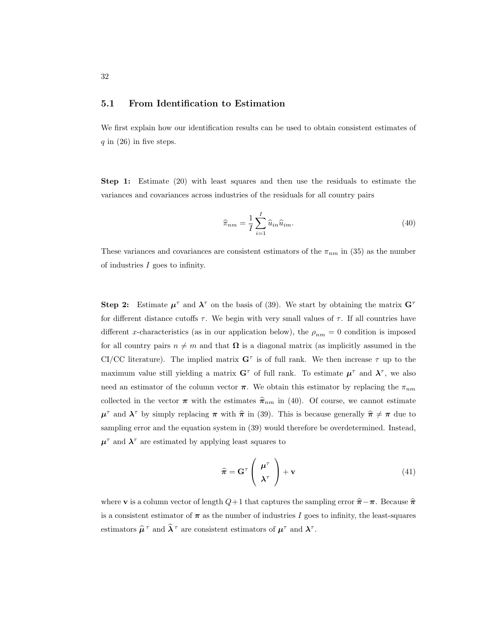### 5.1 From Identification to Estimation

We first explain how our identification results can be used to obtain consistent estimates of q in  $(26)$  in five steps.

Step 1: Estimate (20) with least squares and then use the residuals to estimate the variances and covariances across industries of the residuals for all country pairs

$$
\widehat{\pi}_{nm} = \frac{1}{I} \sum_{i=1}^{I} \widehat{u}_{in} \widehat{u}_{im}.
$$
\n(40)

These variances and covariances are consistent estimators of the  $\pi_{nm}$  in (35) as the number of industries  $I$  goes to infinity.

Step 2: Estimate  $\mu^{\tau}$  and  $\lambda^{\tau}$  on the basis of (39). We start by obtaining the matrix  $G^{\tau}$ for different distance cutoffs  $\tau$ . We begin with very small values of  $\tau$ . If all countries have different x-characteristics (as in our application below), the  $\rho_{nm} = 0$  condition is imposed for all country pairs  $n \neq m$  and that  $\Omega$  is a diagonal matrix (as implicitly assumed in the CI/CC literature). The implied matrix  $G^{\tau}$  is of full rank. We then increase  $\tau$  up to the maximum value still yielding a matrix  $G^{\tau}$  of full rank. To estimate  $\mu^{\tau}$  and  $\lambda^{\tau}$ , we also need an estimator of the column vector  $\pi$ . We obtain this estimator by replacing the  $\pi_{nm}$ collected in the vector  $\pi$  with the estimates  $\hat{\pi}_{nm}$  in (40). Of course, we cannot estimate  $\mu^{\tau}$  and  $\lambda^{\tau}$  by simply replacing  $\pi$  with  $\hat{\pi}$  in (39). This is because generally  $\hat{\pi} \neq \pi$  due to sampling error and the equation system in (39) would therefore be overdetermined. Instead,  $\mu^{\tau}$  and  $\lambda^{\tau}$  are estimated by applying least squares to

$$
\widehat{\boldsymbol{\pi}} = \mathbf{G}^{\tau} \left( \begin{array}{c} \boldsymbol{\mu}^{\tau} \\ \boldsymbol{\lambda}^{\tau} \end{array} \right) + \mathbf{v}
$$
\n(41)

where **v** is a column vector of length  $Q+1$  that captures the sampling error  $\hat{\pi} - \pi$ . Because  $\hat{\pi}$ is a consistent estimator of  $\pi$  as the number of industries I goes to infinity, the least-squares estimators  $\hat{\mu}^{\tau}$  and  $\hat{\lambda}^{\tau}$  are consistent estimators of  $\mu^{\tau}$  and  $\lambda^{\tau}$ .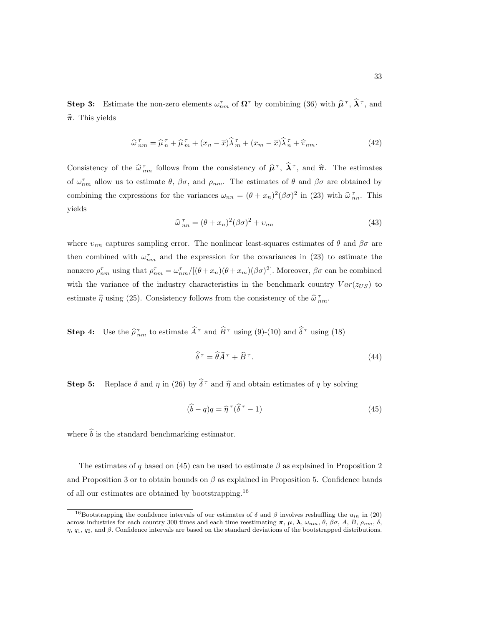**Step 3:** Estimate the non-zero elements  $\omega_{nm}^{\tau}$  of  $\Omega^{\tau}$  by combining (36) with  $\hat{\mu}^{\tau}$ ,  $\hat{\lambda}^{\tau}$ , and  $\hat{\pi}$ . This yields

$$
\widehat{\omega}_{nm}^{\tau} = \widehat{\mu}_n^{\tau} + \widehat{\mu}_m^{\tau} + (x_n - \overline{x})\widehat{\lambda}_m^{\tau} + (x_m - \overline{x})\widehat{\lambda}_n^{\tau} + \widehat{\pi}_{nm}.
$$
\n(42)

Consistency of the  $\hat{\omega}_{nm}^{\tau}$  follows from the consistency of  $\hat{\mu}^{\tau}$ ,  $\hat{\lambda}^{\tau}$ , and  $\hat{\pi}$ . The estimates of  $\omega_{nm}^{\tau}$  allow us to estimate  $\theta$ ,  $\beta\sigma$ , and  $\rho_{nm}$ . The estimates of  $\theta$  and  $\beta\sigma$  are obtained by combining the expressions for the variances  $\omega_{nn} = (\theta + x_n)^2 (\beta \sigma)^2$  in (23) with  $\hat{\omega}_{nn}^{\tau}$ . This yields

$$
\widehat{\omega}_{nn}^{\tau} = (\theta + x_n)^2 (\beta \sigma)^2 + v_{nn}
$$
\n(43)

where  $v_{nn}$  captures sampling error. The nonlinear least-squares estimates of  $\theta$  and  $\beta\sigma$  are then combined with  $\omega_{nm}^{\tau}$  and the expression for the covariances in (23) to estimate the nonzero  $\rho_{nm}^{\tau}$  using that  $\rho_{nm}^{\tau} = \omega_{nm}^{\tau}/[(\theta + x_m)(\theta + x_m)(\beta \sigma)^2]$ . Moreover,  $\beta \sigma$  can be combined with the variance of the industry characteristics in the benchmark country  $Var(z_{US})$  to estimate  $\hat{\eta}$  using (25). Consistency follows from the consistency of the  $\hat{\omega}_{nm}^{\tau}$ .

**Step 4:** Use the  $\hat{\rho}_{nm}^{\tau}$  to estimate  $\hat{A}^{\tau}$  and  $\hat{B}^{\tau}$  using (9)-(10) and  $\hat{\delta}^{\tau}$  using (18)

$$
\widehat{\delta}^{\tau} = \widehat{\theta}\widehat{A}^{\tau} + \widehat{B}^{\tau}.
$$
\n(44)

**Step 5:** Replace  $\delta$  and  $\eta$  in (26) by  $\hat{\delta}^{\tau}$  and  $\hat{\eta}$  and obtain estimates of q by solving

$$
(\hat{b} - q)q = \hat{\eta}^\tau(\hat{\delta}^\tau - 1) \tag{45}
$$

where  $\hat{b}$  is the standard benchmarking estimator.

The estimates of q based on (45) can be used to estimate  $\beta$  as explained in Proposition 2 and Proposition 3 or to obtain bounds on  $\beta$  as explained in Proposition 5. Confidence bands of all our estimates are obtained by bootstrapping.<sup>16</sup>

<sup>&</sup>lt;sup>16</sup>Bootstrapping the confidence intervals of our estimates of  $\delta$  and  $\beta$  involves reshuffling the  $u_{in}$  in (20) across industries for each country 300 times and each time reestimating  $\pi$ ,  $\mu$ ,  $\lambda$ ,  $\omega_{nm}$ ,  $\theta$ ,  $\beta\sigma$ , A, B,  $\rho_{nm}$ ,  $\delta$ ,  $η$ ,  $q_1$ ,  $q_2$ , and β. Confidence intervals are based on the standard deviations of the bootstrapped distributions.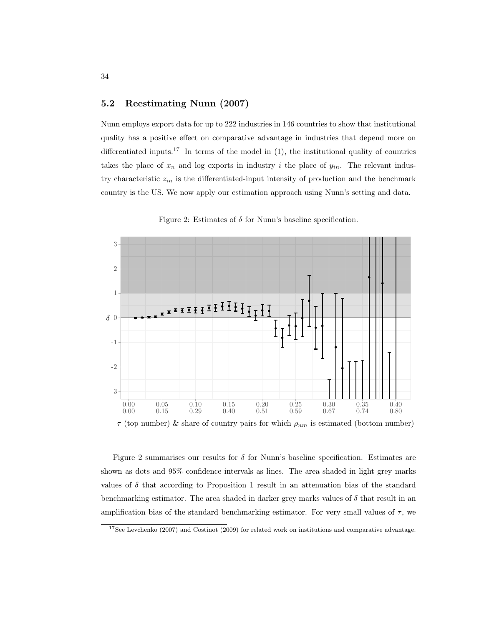### 5.2 Reestimating Nunn (2007)

Nunn employs export data for up to 222 industries in 146 countries to show that institutional quality has a positive effect on comparative advantage in industries that depend more on differentiated inputs.<sup>17</sup> In terms of the model in  $(1)$ , the institutional quality of countries takes the place of  $x_n$  and log exports in industry i the place of  $y_{in}$ . The relevant industry characteristic  $z_{in}$  is the differentiated-input intensity of production and the benchmark country is the US. We now apply our estimation approach using Nunn's setting and data.



Figure 2: Estimates of  $\delta$  for Nunn's baseline specification.

 $\tau$  (top number) & share of country pairs for which  $\rho_{nm}$  is estimated (bottom number)

Figure 2 summarises our results for  $\delta$  for Nunn's baseline specification. Estimates are shown as dots and 95% confidence intervals as lines. The area shaded in light grey marks values of  $\delta$  that according to Proposition 1 result in an attenuation bias of the standard benchmarking estimator. The area shaded in darker grey marks values of  $\delta$  that result in an amplification bias of the standard benchmarking estimator. For very small values of  $\tau$ , we

34

 $17$ See Levchenko (2007) and Costinot (2009) for related work on institutions and comparative advantage.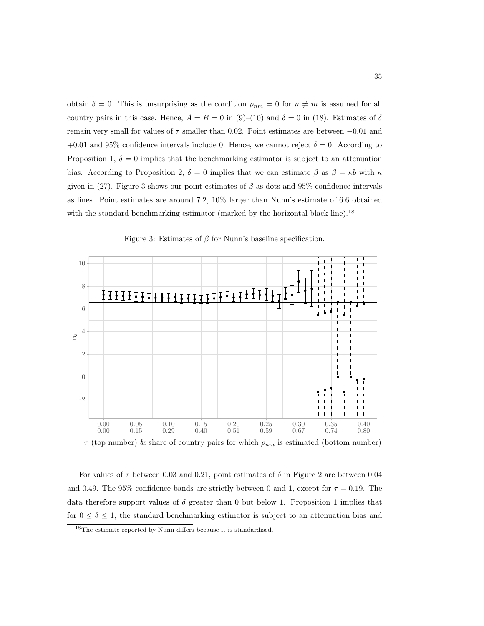obtain  $\delta = 0$ . This is unsurprising as the condition  $\rho_{nm} = 0$  for  $n \neq m$  is assumed for all country pairs in this case. Hence,  $A = B = 0$  in (9)–(10) and  $\delta = 0$  in (18). Estimates of  $\delta$ remain very small for values of  $\tau$  smaller than 0.02. Point estimates are between  $-0.01$  and +0.01 and 95% confidence intervals include 0. Hence, we cannot reject  $\delta = 0$ . According to Proposition 1,  $\delta = 0$  implies that the benchmarking estimator is subject to an attenuation bias. According to Proposition 2,  $\delta = 0$  implies that we can estimate  $\beta$  as  $\beta = \kappa b$  with  $\kappa$ given in (27). Figure 3 shows our point estimates of  $\beta$  as dots and 95% confidence intervals as lines. Point estimates are around 7.2, 10% larger than Nunn's estimate of 6.6 obtained with the standard benchmarking estimator (marked by the horizontal black line).<sup>18</sup>



Figure 3: Estimates of  $\beta$  for Nunn's baseline specification.

 $\tau$  (top number) & share of country pairs for which  $\rho_{nm}$  is estimated (bottom number)

For values of  $\tau$  between 0.03 and 0.21, point estimates of  $\delta$  in Figure 2 are between 0.04 and 0.49. The 95% confidence bands are strictly between 0 and 1, except for  $\tau = 0.19$ . The data therefore support values of  $\delta$  greater than 0 but below 1. Proposition 1 implies that for  $0 \le \delta \le 1$ , the standard benchmarking estimator is subject to an attenuation bias and

<sup>18</sup>The estimate reported by Nunn differs because it is standardised.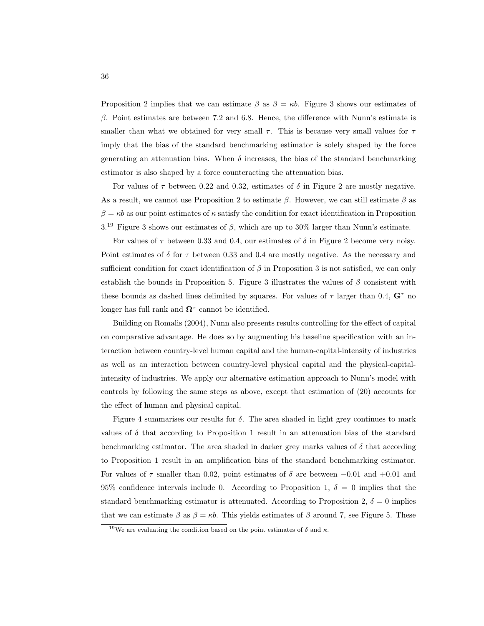Proposition 2 implies that we can estimate  $\beta$  as  $\beta = \kappa b$ . Figure 3 shows our estimates of  $\beta$ . Point estimates are between 7.2 and 6.8. Hence, the difference with Nunn's estimate is smaller than what we obtained for very small  $\tau$ . This is because very small values for  $\tau$ imply that the bias of the standard benchmarking estimator is solely shaped by the force generating an attenuation bias. When  $\delta$  increases, the bias of the standard benchmarking estimator is also shaped by a force counteracting the attenuation bias.

For values of  $\tau$  between 0.22 and 0.32, estimates of  $\delta$  in Figure 2 are mostly negative. As a result, we cannot use Proposition 2 to estimate  $\beta$ . However, we can still estimate  $\beta$  as  $\beta = \kappa b$  as our point estimates of  $\kappa$  satisfy the condition for exact identification in Proposition  $3^{19}$  Figure 3 shows our estimates of  $\beta$ , which are up to 30% larger than Nunn's estimate.

For values of  $\tau$  between 0.33 and 0.4, our estimates of  $\delta$  in Figure 2 become very noisy. Point estimates of  $\delta$  for  $\tau$  between 0.33 and 0.4 are mostly negative. As the necessary and sufficient condition for exact identification of  $\beta$  in Proposition 3 is not satisfied, we can only establish the bounds in Proposition 5. Figure 3 illustrates the values of  $\beta$  consistent with these bounds as dashed lines delimited by squares. For values of  $\tau$  larger than 0.4,  $\mathbf{G}^{\tau}$  no longer has full rank and  $\Omega^{\tau}$  cannot be identified.

Building on Romalis (2004), Nunn also presents results controlling for the effect of capital on comparative advantage. He does so by augmenting his baseline specification with an interaction between country-level human capital and the human-capital-intensity of industries as well as an interaction between country-level physical capital and the physical-capitalintensity of industries. We apply our alternative estimation approach to Nunn's model with controls by following the same steps as above, except that estimation of (20) accounts for the effect of human and physical capital.

Figure 4 summarises our results for  $\delta$ . The area shaded in light grey continues to mark values of  $\delta$  that according to Proposition 1 result in an attenuation bias of the standard benchmarking estimator. The area shaded in darker grey marks values of  $\delta$  that according to Proposition 1 result in an amplification bias of the standard benchmarking estimator. For values of  $\tau$  smaller than 0.02, point estimates of  $\delta$  are between  $-0.01$  and  $+0.01$  and 95% confidence intervals include 0. According to Proposition 1,  $\delta = 0$  implies that the standard benchmarking estimator is attenuated. According to Proposition 2,  $\delta = 0$  implies that we can estimate  $\beta$  as  $\beta = \kappa b$ . This yields estimates of  $\beta$  around 7, see Figure 5. These

<sup>&</sup>lt;sup>19</sup>We are evaluating the condition based on the point estimates of  $\delta$  and  $\kappa$ .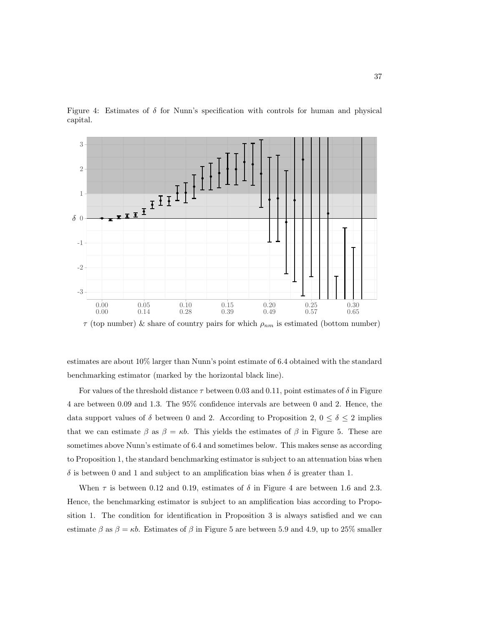



 $\tau$  (top number) & share of country pairs for which  $\rho_{nm}$  is estimated (bottom number)

estimates are about 10% larger than Nunn's point estimate of 6.4 obtained with the standard benchmarking estimator (marked by the horizontal black line).

For values of the threshold distance  $\tau$  between 0.03 and 0.11, point estimates of  $\delta$  in Figure 4 are between 0.09 and 1.3. The 95% confidence intervals are between 0 and 2. Hence, the data support values of  $\delta$  between 0 and 2. According to Proposition 2,  $0 \leq \delta \leq 2$  implies that we can estimate  $\beta$  as  $\beta = \kappa b$ . This yields the estimates of  $\beta$  in Figure 5. These are sometimes above Nunn's estimate of 6.4 and sometimes below. This makes sense as according to Proposition 1, the standard benchmarking estimator is subject to an attenuation bias when  $\delta$  is between 0 and 1 and subject to an amplification bias when  $\delta$  is greater than 1.

When  $\tau$  is between 0.12 and 0.19, estimates of  $\delta$  in Figure 4 are between 1.6 and 2.3. Hence, the benchmarking estimator is subject to an amplification bias according to Proposition 1. The condition for identification in Proposition 3 is always satisfied and we can estimate  $\beta$  as  $\beta = \kappa b$ . Estimates of  $\beta$  in Figure 5 are between 5.9 and 4.9, up to 25% smaller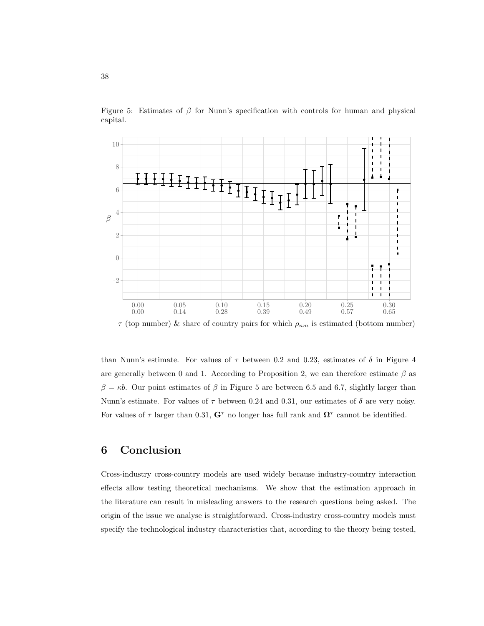

Figure 5: Estimates of  $\beta$  for Nunn's specification with controls for human and physical capital.

 $\tau$  (top number) & share of country pairs for which  $\rho_{nm}$  is estimated (bottom number)

than Nunn's estimate. For values of  $\tau$  between 0.2 and 0.23, estimates of  $\delta$  in Figure 4 are generally between 0 and 1. According to Proposition 2, we can therefore estimate  $\beta$  as  $β = κb$ . Our point estimates of β in Figure 5 are between 6.5 and 6.7, slightly larger than Nunn's estimate. For values of  $\tau$  between 0.24 and 0.31, our estimates of  $\delta$  are very noisy. For values of  $\tau$  larger than 0.31,  $G^{\tau}$  no longer has full rank and  $\Omega^{\tau}$  cannot be identified.

# 6 Conclusion

Cross-industry cross-country models are used widely because industry-country interaction effects allow testing theoretical mechanisms. We show that the estimation approach in the literature can result in misleading answers to the research questions being asked. The origin of the issue we analyse is straightforward. Cross-industry cross-country models must specify the technological industry characteristics that, according to the theory being tested,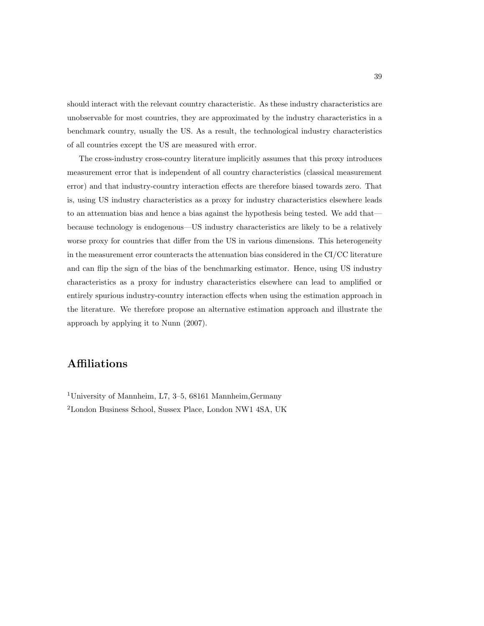should interact with the relevant country characteristic. As these industry characteristics are unobservable for most countries, they are approximated by the industry characteristics in a benchmark country, usually the US. As a result, the technological industry characteristics of all countries except the US are measured with error.

The cross-industry cross-country literature implicitly assumes that this proxy introduces measurement error that is independent of all country characteristics (classical measurement error) and that industry-country interaction effects are therefore biased towards zero. That is, using US industry characteristics as a proxy for industry characteristics elsewhere leads to an attenuation bias and hence a bias against the hypothesis being tested. We add that because technology is endogenous—US industry characteristics are likely to be a relatively worse proxy for countries that differ from the US in various dimensions. This heterogeneity in the measurement error counteracts the attenuation bias considered in the CI/CC literature and can flip the sign of the bias of the benchmarking estimator. Hence, using US industry characteristics as a proxy for industry characteristics elsewhere can lead to amplified or entirely spurious industry-country interaction effects when using the estimation approach in the literature. We therefore propose an alternative estimation approach and illustrate the approach by applying it to Nunn (2007).

# Affiliations

<sup>1</sup>University of Mannheim, L7, 3–5, 68161 Mannheim,Germany <sup>2</sup>London Business School, Sussex Place, London NW1 4SA, UK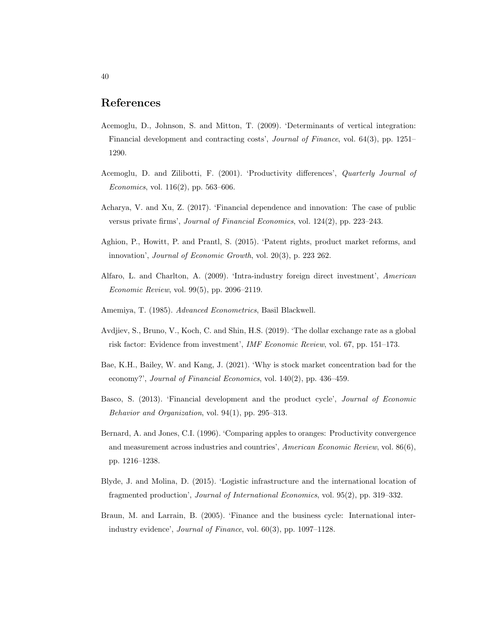### References

- Acemoglu, D., Johnson, S. and Mitton, T. (2009). 'Determinants of vertical integration: Financial development and contracting costs', Journal of Finance, vol. 64(3), pp. 1251– 1290.
- Acemoglu, D. and Zilibotti, F. (2001). 'Productivity differences', Quarterly Journal of Economics, vol.  $116(2)$ , pp. 563–606.
- Acharya, V. and Xu, Z. (2017). 'Financial dependence and innovation: The case of public versus private firms', Journal of Financial Economics, vol. 124(2), pp. 223–243.
- Aghion, P., Howitt, P. and Prantl, S. (2015). 'Patent rights, product market reforms, and innovation', Journal of Economic Growth, vol. 20(3), p. 223 262.
- Alfaro, L. and Charlton, A. (2009). 'Intra-industry foreign direct investment', American Economic Review, vol. 99(5), pp. 2096–2119.
- Amemiya, T. (1985). Advanced Econometrics, Basil Blackwell.
- Avdjiev, S., Bruno, V., Koch, C. and Shin, H.S. (2019). 'The dollar exchange rate as a global risk factor: Evidence from investment', IMF Economic Review, vol. 67, pp. 151–173.
- Bae, K.H., Bailey, W. and Kang, J. (2021). 'Why is stock market concentration bad for the economy?', Journal of Financial Economics, vol. 140(2), pp. 436–459.
- Basco, S. (2013). 'Financial development and the product cycle', Journal of Economic Behavior and Organization, vol. 94(1), pp. 295–313.
- Bernard, A. and Jones, C.I. (1996). 'Comparing apples to oranges: Productivity convergence and measurement across industries and countries', American Economic Review, vol. 86(6), pp. 1216–1238.
- Blyde, J. and Molina, D. (2015). 'Logistic infrastructure and the international location of fragmented production', Journal of International Economics, vol. 95(2), pp. 319–332.
- Braun, M. and Larrain, B. (2005). 'Finance and the business cycle: International interindustry evidence', Journal of Finance, vol. 60(3), pp. 1097–1128.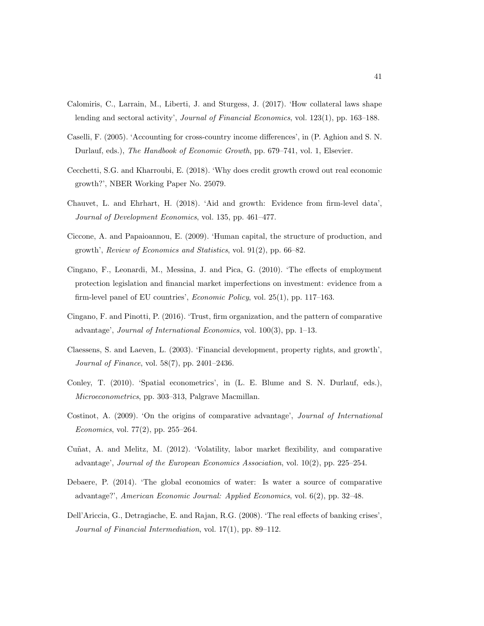- Calomiris, C., Larrain, M., Liberti, J. and Sturgess, J. (2017). 'How collateral laws shape lending and sectoral activity', Journal of Financial Economics, vol. 123(1), pp. 163–188.
- Caselli, F. (2005). 'Accounting for cross-country income differences', in (P. Aghion and S. N. Durlauf, eds.), The Handbook of Economic Growth, pp. 679–741, vol. 1, Elsevier.
- Cecchetti, S.G. and Kharroubi, E. (2018). 'Why does credit growth crowd out real economic growth?', NBER Working Paper No. 25079.
- Chauvet, L. and Ehrhart, H. (2018). 'Aid and growth: Evidence from firm-level data', Journal of Development Economics, vol. 135, pp. 461–477.
- Ciccone, A. and Papaioannou, E. (2009). 'Human capital, the structure of production, and growth', Review of Economics and Statistics, vol. 91(2), pp. 66–82.
- Cingano, F., Leonardi, M., Messina, J. and Pica, G. (2010). 'The effects of employment protection legislation and financial market imperfections on investment: evidence from a firm-level panel of EU countries', Economic Policy, vol. 25(1), pp. 117–163.
- Cingano, F. and Pinotti, P. (2016). 'Trust, firm organization, and the pattern of comparative advantage', Journal of International Economics, vol. 100(3), pp. 1–13.
- Claessens, S. and Laeven, L. (2003). 'Financial development, property rights, and growth', Journal of Finance, vol. 58(7), pp. 2401–2436.
- Conley, T. (2010). 'Spatial econometrics', in (L. E. Blume and S. N. Durlauf, eds.), Microeconometrics, pp. 303–313, Palgrave Macmillan.
- Costinot, A. (2009). 'On the origins of comparative advantage', Journal of International Economics, vol. 77(2), pp. 255–264.
- Cuñat, A. and Melitz, M. (2012). 'Volatility, labor market flexibility, and comparative advantage', Journal of the European Economics Association, vol. 10(2), pp. 225–254.
- Debaere, P. (2014). 'The global economics of water: Is water a source of comparative advantage?', American Economic Journal: Applied Economics, vol. 6(2), pp. 32–48.
- Dell'Ariccia, G., Detragiache, E. and Rajan, R.G. (2008). 'The real effects of banking crises', Journal of Financial Intermediation, vol. 17(1), pp. 89–112.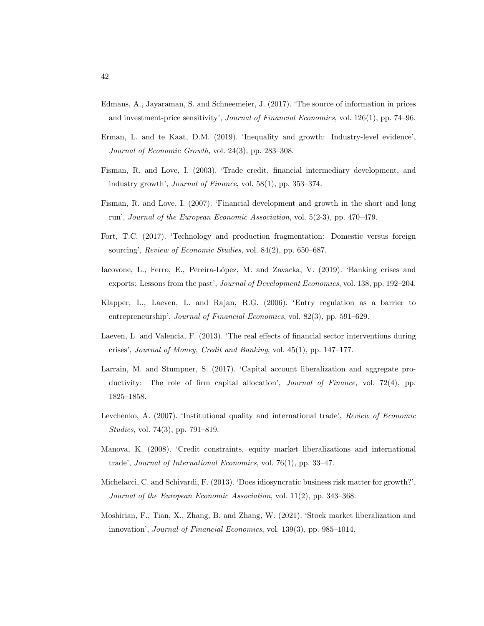- Edmans, A., Jayaraman, S. and Schneemeier, J. (2017). 'The source of information in prices and investment-price sensitivity', Journal of Financial Economics, vol. 126(1), pp. 74–96.
- Erman, L. and te Kaat, D.M. (2019). 'Inequality and growth: Industry-level evidence', Journal of Economic Growth, vol. 24(3), pp. 283–308.
- Fisman, R. and Love, I. (2003). 'Trade credit, financial intermediary development, and industry growth', Journal of Finance, vol. 58(1), pp. 353–374.
- Fisman, R. and Love, I. (2007). 'Financial development and growth in the short and long run', Journal of the European Economic Association, vol. 5(2-3), pp. 470–479.
- Fort, T.C. (2017). 'Technology and production fragmentation: Domestic versus foreign sourcing', Review of Economic Studies, vol. 84(2), pp. 650–687.
- Iacovone, L., Ferro, E., Pereira-López, M. and Zavacka, V. (2019). 'Banking crises and exports: Lessons from the past', Journal of Development Economics, vol. 138, pp. 192–204.
- Klapper, L., Laeven, L. and Rajan, R.G. (2006). 'Entry regulation as a barrier to entrepreneurship', Journal of Financial Economics, vol. 82(3), pp. 591–629.
- Laeven, L. and Valencia, F. (2013). 'The real effects of financial sector interventions during crises', Journal of Money, Credit and Banking, vol. 45(1), pp. 147–177.
- Larrain, M. and Stumpner, S. (2017). 'Capital account liberalization and aggregate productivity: The role of firm capital allocation', *Journal of Finance*, vol. 72(4), pp. 1825–1858.
- Levchenko, A. (2007). 'Institutional quality and international trade', Review of Economic Studies, vol. 74(3), pp. 791–819.
- Manova, K. (2008). 'Credit constraints, equity market liberalizations and international trade', Journal of International Economics, vol. 76(1), pp. 33–47.
- Michelacci, C. and Schivardi, F. (2013). 'Does idiosyncratic business risk matter for growth?', Journal of the European Economic Association, vol. 11(2), pp. 343–368.
- Moshirian, F., Tian, X., Zhang, B. and Zhang, W. (2021). 'Stock market liberalization and innovation', Journal of Financial Economics, vol. 139(3), pp. 985–1014.